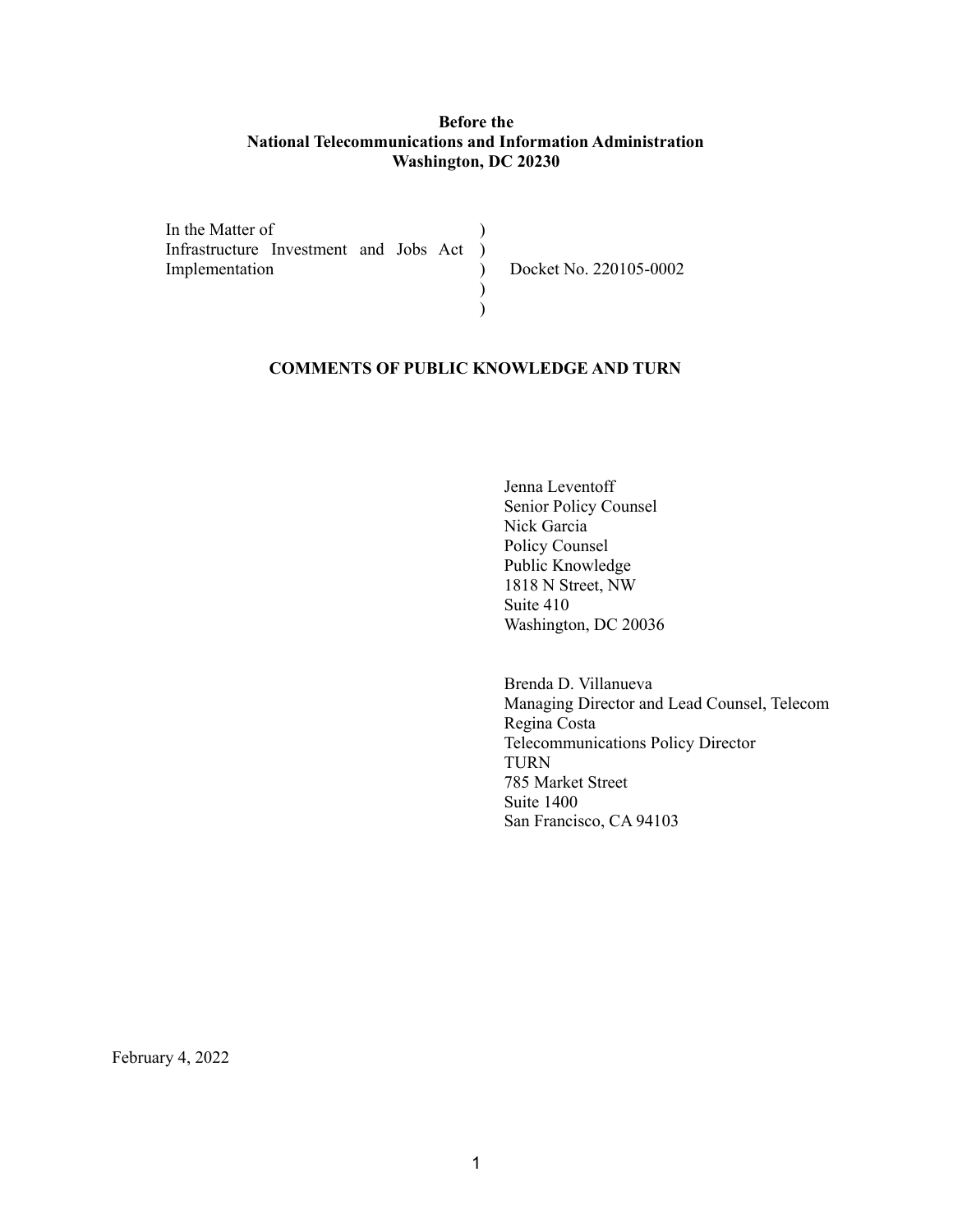### **Before the National Telecommunications and Information Administration Washington, DC 20230**

In the Matter of Infrastructure Investment and Jobs Act ) Implementation )  $\mathcal{L}$ ) ) Docket No. 220105-0002

## **COMMENTS OF PUBLIC KNOWLEDGE AND TURN**

Jenna Leventoff Senior Policy Counsel Nick Garcia Policy Counsel Public Knowledge 1818 N Street, NW Suite 410 Washington, DC 20036

Brenda D. Villanueva Managing Director and Lead Counsel, Telecom Regina Costa Telecommunications Policy Director TURN 785 Market Street Suite 1400 San Francisco, CA 94103

February 4, 2022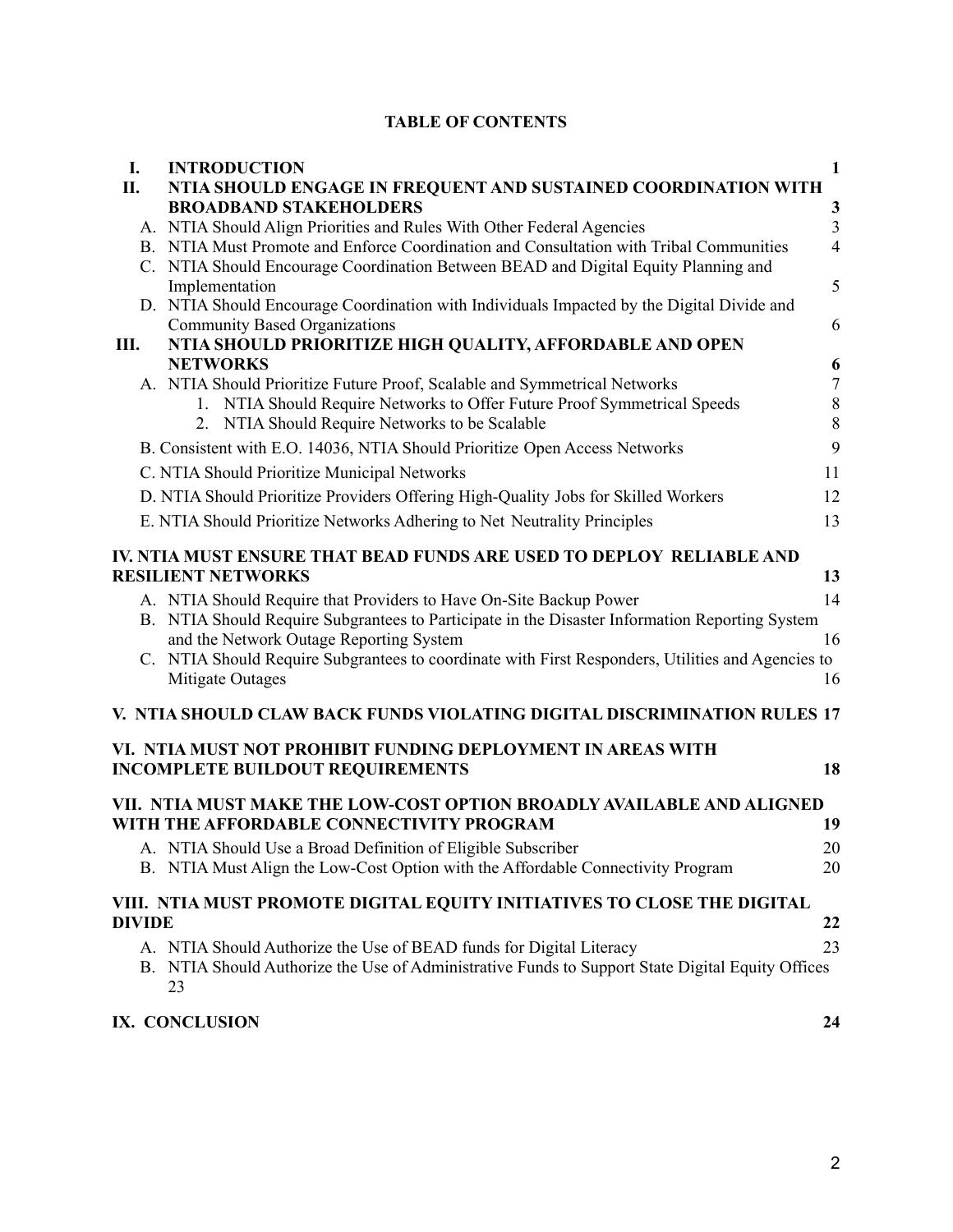## **TABLE OF CONTENTS**

| I.            | <b>INTRODUCTION</b>                                                                                                               | 1              |
|---------------|-----------------------------------------------------------------------------------------------------------------------------------|----------------|
| П.            | NTIA SHOULD ENGAGE IN FREQUENT AND SUSTAINED COORDINATION WITH                                                                    |                |
|               | <b>BROADBAND STAKEHOLDERS</b>                                                                                                     | $\mathbf{3}$   |
|               | A. NTIA Should Align Priorities and Rules With Other Federal Agencies                                                             | $\overline{3}$ |
|               | B. NTIA Must Promote and Enforce Coordination and Consultation with Tribal Communities                                            | $\overline{4}$ |
|               | C. NTIA Should Encourage Coordination Between BEAD and Digital Equity Planning and                                                |                |
|               | Implementation                                                                                                                    | 5              |
|               | D. NTIA Should Encourage Coordination with Individuals Impacted by the Digital Divide and<br><b>Community Based Organizations</b> | 6              |
| Ш.            | NTIA SHOULD PRIORITIZE HIGH QUALITY, AFFORDABLE AND OPEN                                                                          |                |
|               | <b>NETWORKS</b>                                                                                                                   | 6              |
|               | A. NTIA Should Prioritize Future Proof, Scalable and Symmetrical Networks                                                         | $\tau$         |
|               | 1. NTIA Should Require Networks to Offer Future Proof Symmetrical Speeds                                                          | $\,$ $\,$      |
|               | 2. NTIA Should Require Networks to be Scalable                                                                                    | 8              |
|               | B. Consistent with E.O. 14036, NTIA Should Prioritize Open Access Networks                                                        | 9              |
|               | C. NTIA Should Prioritize Municipal Networks                                                                                      | 11             |
|               | D. NTIA Should Prioritize Providers Offering High-Quality Jobs for Skilled Workers                                                | 12             |
|               | E. NTIA Should Prioritize Networks Adhering to Net Neutrality Principles                                                          | 13             |
|               | IV. NTIA MUST ENSURE THAT BEAD FUNDS ARE USED TO DEPLOY RELIABLE AND                                                              |                |
|               | <b>RESILIENT NETWORKS</b>                                                                                                         | 13             |
|               | A. NTIA Should Require that Providers to Have On-Site Backup Power                                                                | 14             |
|               | B. NTIA Should Require Subgrantees to Participate in the Disaster Information Reporting System                                    |                |
|               | and the Network Outage Reporting System                                                                                           | 16             |
|               | C. NTIA Should Require Subgrantees to coordinate with First Responders, Utilities and Agencies to                                 |                |
|               | Mitigate Outages                                                                                                                  | 16             |
|               | V. NTIA SHOULD CLAW BACK FUNDS VIOLATING DIGITAL DISCRIMINATION RULES 17                                                          |                |
|               | VI. NTIA MUST NOT PROHIBIT FUNDING DEPLOYMENT IN AREAS WITH                                                                       |                |
|               | <b>INCOMPLETE BUILDOUT REQUIREMENTS</b>                                                                                           | 18             |
|               | VII. NTIA MUST MAKE THE LOW-COST OPTION BROADLY AVAILABLE AND ALIGNED                                                             |                |
|               | WITH THE AFFORDABLE CONNECTIVITY PROGRAM                                                                                          | 19             |
|               | A. NTIA Should Use a Broad Definition of Eligible Subscriber                                                                      | 20             |
|               | B. NTIA Must Align the Low-Cost Option with the Affordable Connectivity Program                                                   | 20             |
|               | VIII. NTIA MUST PROMOTE DIGITAL EQUITY INITIATIVES TO CLOSE THE DIGITAL                                                           |                |
| <b>DIVIDE</b> |                                                                                                                                   | 22             |
|               | A. NTIA Should Authorize the Use of BEAD funds for Digital Literacy                                                               | 23             |
|               | B. NTIA Should Authorize the Use of Administrative Funds to Support State Digital Equity Offices<br>23                            |                |
|               | IX. CONCLUSION                                                                                                                    | 24             |
|               |                                                                                                                                   |                |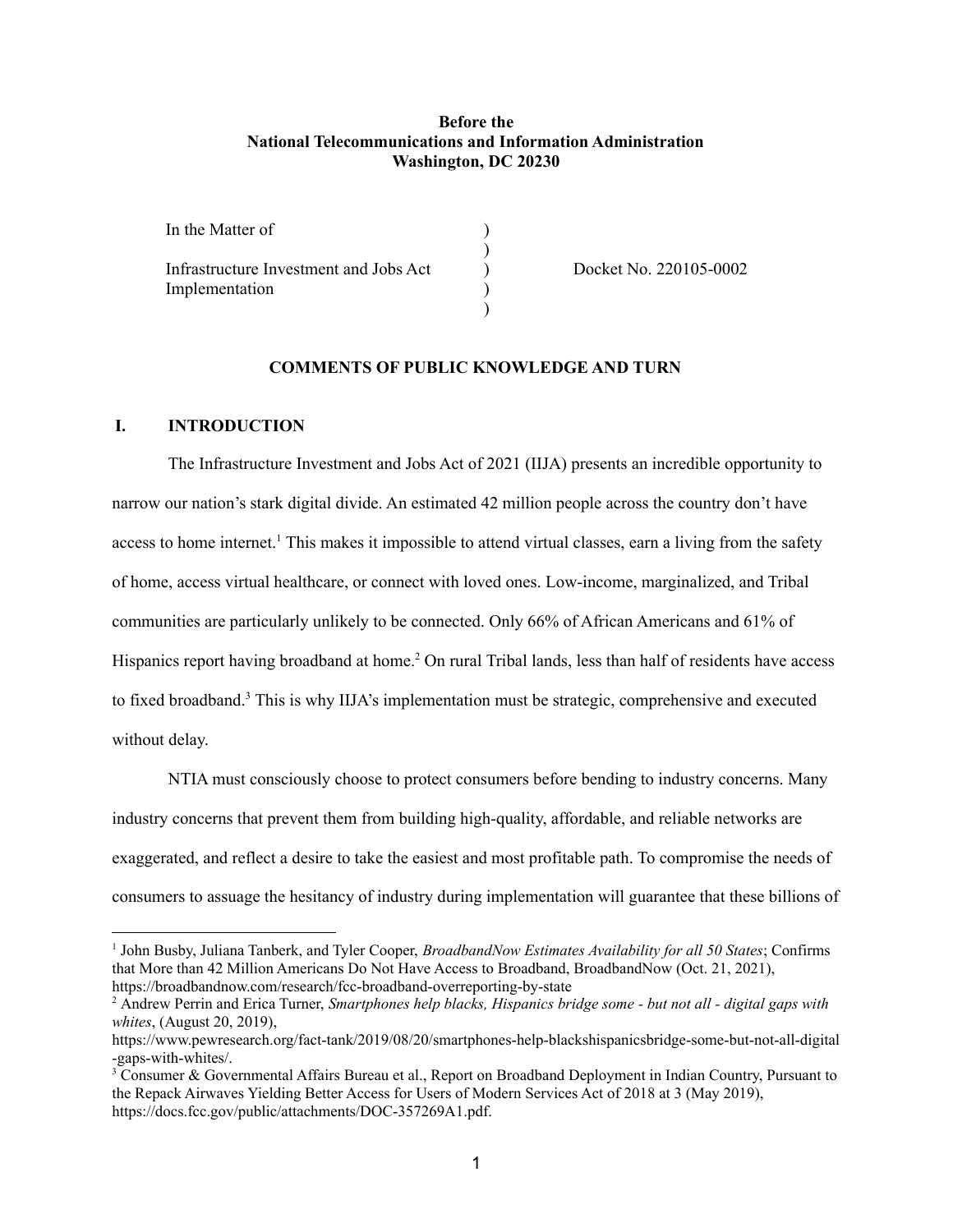#### **Before the National Telecommunications and Information Administration Washington, DC 20230**

| In the Matter of                       |  |
|----------------------------------------|--|
| Infrastructure Investment and Jobs Act |  |
| Implementation                         |  |
|                                        |  |

Docket No. 220105-0002

### **COMMENTS OF PUBLIC KNOWLEDGE AND TURN**

#### <span id="page-2-0"></span>**I. INTRODUCTION**

The Infrastructure Investment and Jobs Act of 2021 (IIJA) presents an incredible opportunity to narrow our nation's stark digital divide. An estimated 42 million people across the country don't have access to home internet.<sup>1</sup> This makes it impossible to attend virtual classes, earn a living from the safety of home, access virtual healthcare, or connect with loved ones. Low-income, marginalized, and Tribal communities are particularly unlikely to be connected. Only 66% of African Americans and 61% of Hispanics report having broadband at home.<sup>2</sup> On rural Tribal lands, less than half of residents have access to fixed broadband. <sup>3</sup> This is why IIJA's implementation must be strategic, comprehensive and executed without delay.

NTIA must consciously choose to protect consumers before bending to industry concerns. Many industry concerns that prevent them from building high-quality, affordable, and reliable networks are exaggerated, and reflect a desire to take the easiest and most profitable path. To compromise the needs of consumers to assuage the hesitancy of industry during implementation will guarantee that these billions of

<sup>1</sup> John Busby, Juliana Tanberk, and Tyler Cooper, *BroadbandNow Estimates Availability for all 50 States*; Confirms that More than 42 Million Americans Do Not Have Access to Broadband, BroadbandNow (Oct. 21, 2021), https://broadbandnow.com/research/fcc-broadband-overreporting-by-state

<sup>2</sup> Andrew Perrin and Erica Turner, *Smartphones help blacks, Hispanics bridge some - but not all - digital gaps with whites*, (August 20, 2019),

https://www.pewresearch.org/fact-tank/2019/08/20/smartphones-help-blackshispanicsbridge-some-but-not-all-digital -gaps-with-whites/.

<sup>&</sup>lt;sup>3</sup> Consumer & Governmental Affairs Bureau et al., Report on Broadband Deployment in Indian Country, Pursuant to the Repack Airwaves Yielding Better Access for Users of Modern Services Act of 2018 at 3 (May 2019), https://docs.fcc.gov/public/attachments/DOC-357269A1.pdf.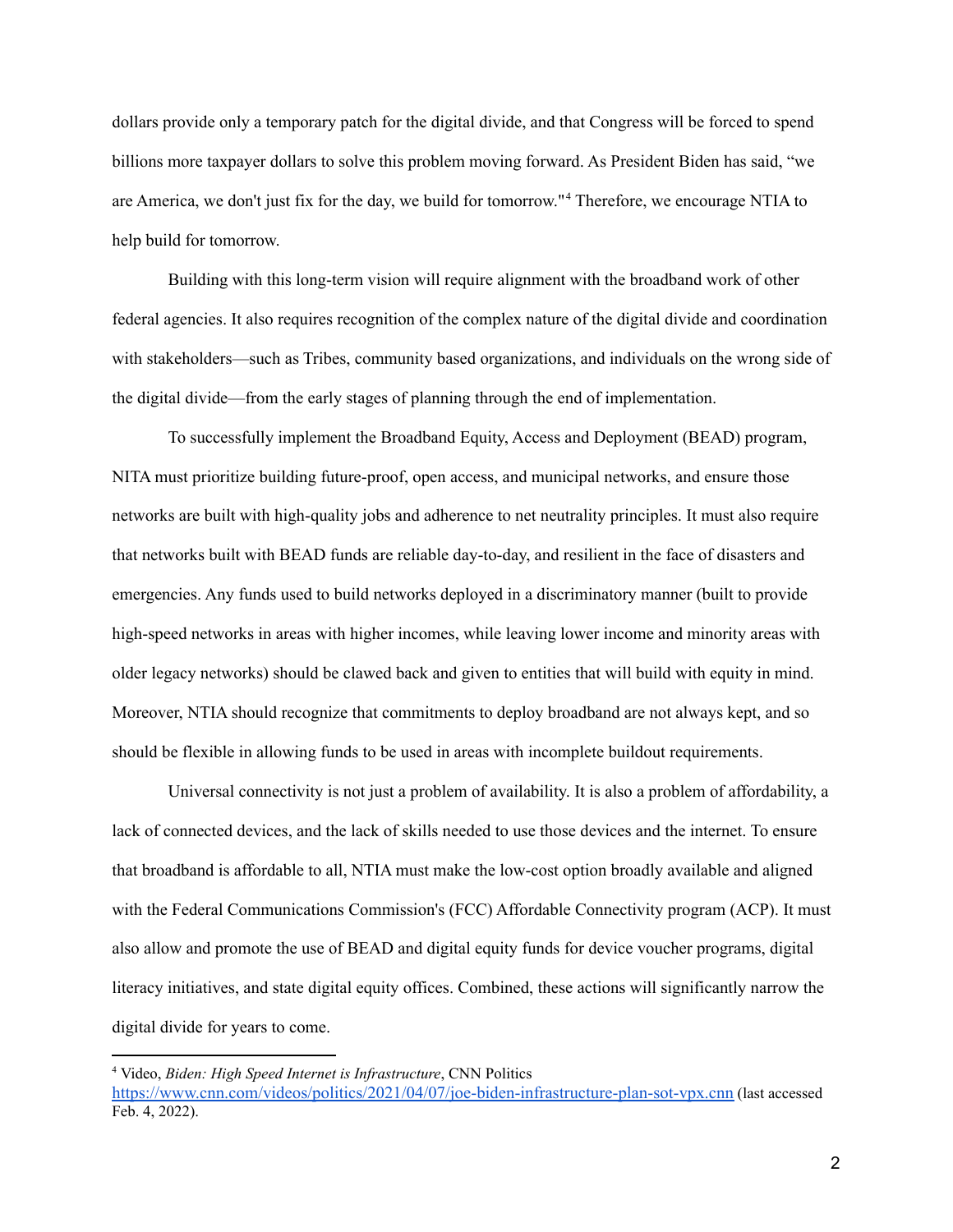dollars provide only a temporary patch for the digital divide, and that Congress will be forced to spend billions more taxpayer dollars to solve this problem moving forward. As President Biden has said, "we are America, we don't just fix for the day, we build for tomorrow." <sup>4</sup> Therefore, we encourage NTIA to help build for tomorrow.

Building with this long-term vision will require alignment with the broadband work of other federal agencies. It also requires recognition of the complex nature of the digital divide and coordination with stakeholders—such as Tribes, community based organizations, and individuals on the wrong side of the digital divide—from the early stages of planning through the end of implementation.

To successfully implement the Broadband Equity, Access and Deployment (BEAD) program, NITA must prioritize building future-proof, open access, and municipal networks, and ensure those networks are built with high-quality jobs and adherence to net neutrality principles. It must also require that networks built with BEAD funds are reliable day-to-day, and resilient in the face of disasters and emergencies. Any funds used to build networks deployed in a discriminatory manner (built to provide high-speed networks in areas with higher incomes, while leaving lower income and minority areas with older legacy networks) should be clawed back and given to entities that will build with equity in mind. Moreover, NTIA should recognize that commitments to deploy broadband are not always kept, and so should be flexible in allowing funds to be used in areas with incomplete buildout requirements.

Universal connectivity is not just a problem of availability. It is also a problem of affordability, a lack of connected devices, and the lack of skills needed to use those devices and the internet. To ensure that broadband is affordable to all, NTIA must make the low-cost option broadly available and aligned with the Federal Communications Commission's (FCC) Affordable Connectivity program (ACP). It must also allow and promote the use of BEAD and digital equity funds for device voucher programs, digital literacy initiatives, and state digital equity offices. Combined, these actions will significantly narrow the digital divide for years to come.

<sup>4</sup> Video, *Biden: High Speed Internet is Infrastructure*, CNN Politics

<https://www.cnn.com/videos/politics/2021/04/07/joe-biden-infrastructure-plan-sot-vpx.cnn> (last accessed Feb. 4, 2022).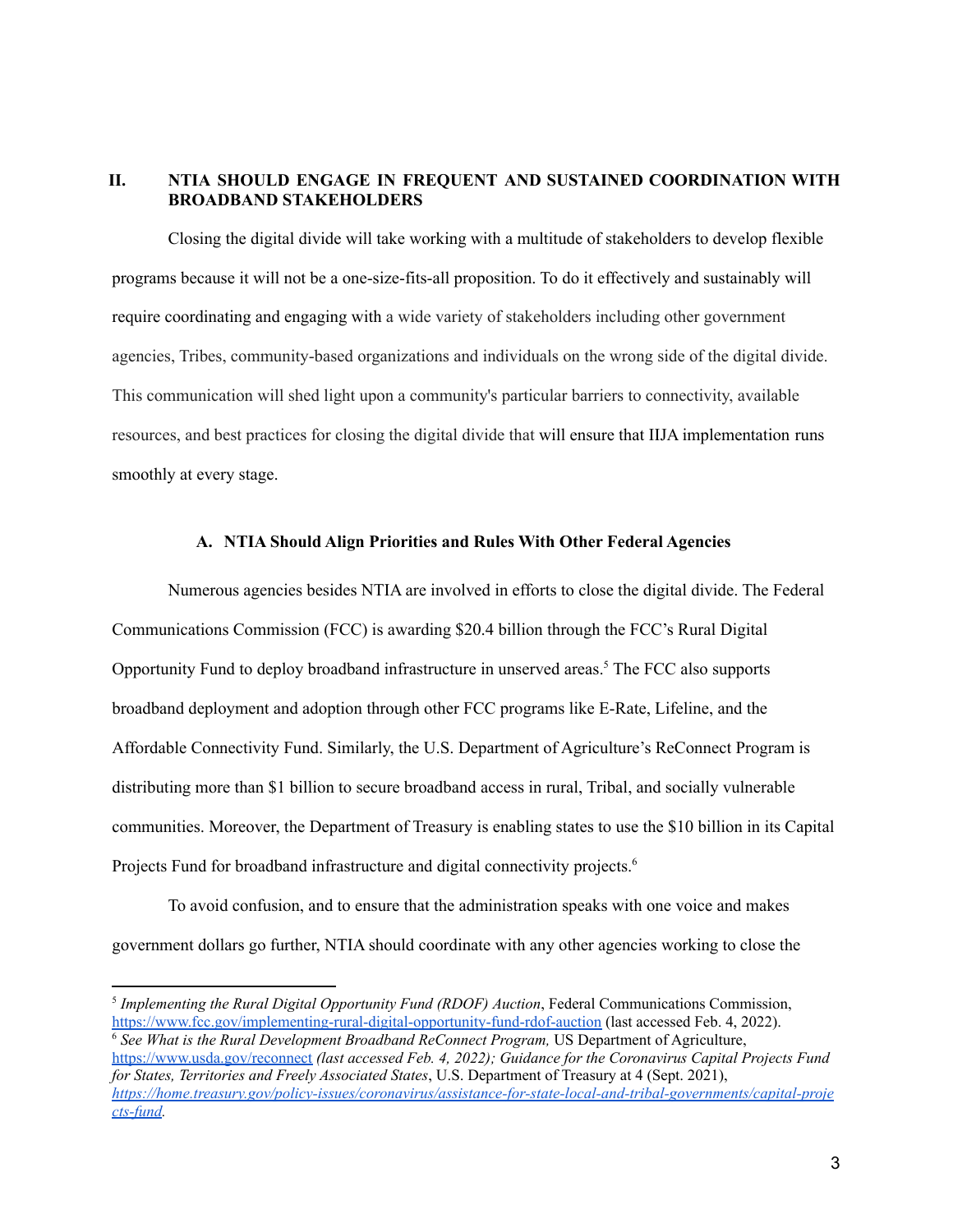### <span id="page-4-0"></span>**II. NTIA SHOULD ENGAGE IN FREQUENT AND SUSTAINED COORDINATION WITH BROADBAND STAKEHOLDERS**

Closing the digital divide will take working with a multitude of stakeholders to develop flexible programs because it will not be a one-size-fits-all proposition. To do it effectively and sustainably will require coordinating and engaging with a wide variety of stakeholders including other government agencies, Tribes, community-based organizations and individuals on the wrong side of the digital divide. This communication will shed light upon a community's particular barriers to connectivity, available resources, and best practices for closing the digital divide that will ensure that IIJA implementation runs smoothly at every stage.

#### **A. NTIA Should Align Priorities and Rules With Other Federal Agencies**

<span id="page-4-1"></span>Numerous agencies besides NTIA are involved in efforts to close the digital divide. The Federal Communications Commission (FCC) is awarding \$20.4 billion through the FCC's Rural Digital Opportunity Fund to deploy broadband infrastructure in unserved areas. <sup>5</sup> The FCC also supports broadband deployment and adoption through other FCC programs like E-Rate, Lifeline, and the Affordable Connectivity Fund. Similarly, the U.S. Department of Agriculture's ReConnect Program is distributing more than \$1 billion to secure broadband access in rural, Tribal, and socially vulnerable communities. Moreover, the Department of Treasury is enabling states to use the \$10 billion in its Capital Projects Fund for broadband infrastructure and digital connectivity projects. 6

To avoid confusion, and to ensure that the administration speaks with one voice and makes government dollars go further, NTIA should coordinate with any other agencies working to close the

<sup>5</sup> *Implementing the Rural Digital Opportunity Fund (RDOF) Auction*, Federal Communications Commission, <https://www.fcc.gov/implementing-rural-digital-opportunity-fund-rdof-auction> (last accessed Feb. 4, 2022).

<sup>6</sup> *See What is the Rural Development Broadband ReConnect Program,* US Department of Agriculture, <https://www.usda.gov/reconnect> *(last accessed Feb. 4, 2022); Guidance for the Coronavirus Capital Projects Fund for States, Territories and Freely Associated States*, U.S. Department of Treasury at 4 (Sept. 2021), *[https://home.treasury.gov/policy-issues/coronavirus/assistance-for-state-local-and-tribal-governments/capital-proje](https://home.treasury.gov/policy-issues/coronavirus/assistance-for-state-local-and-tribal-governments/capital-projects-fund) [cts-fund](https://home.treasury.gov/policy-issues/coronavirus/assistance-for-state-local-and-tribal-governments/capital-projects-fund).*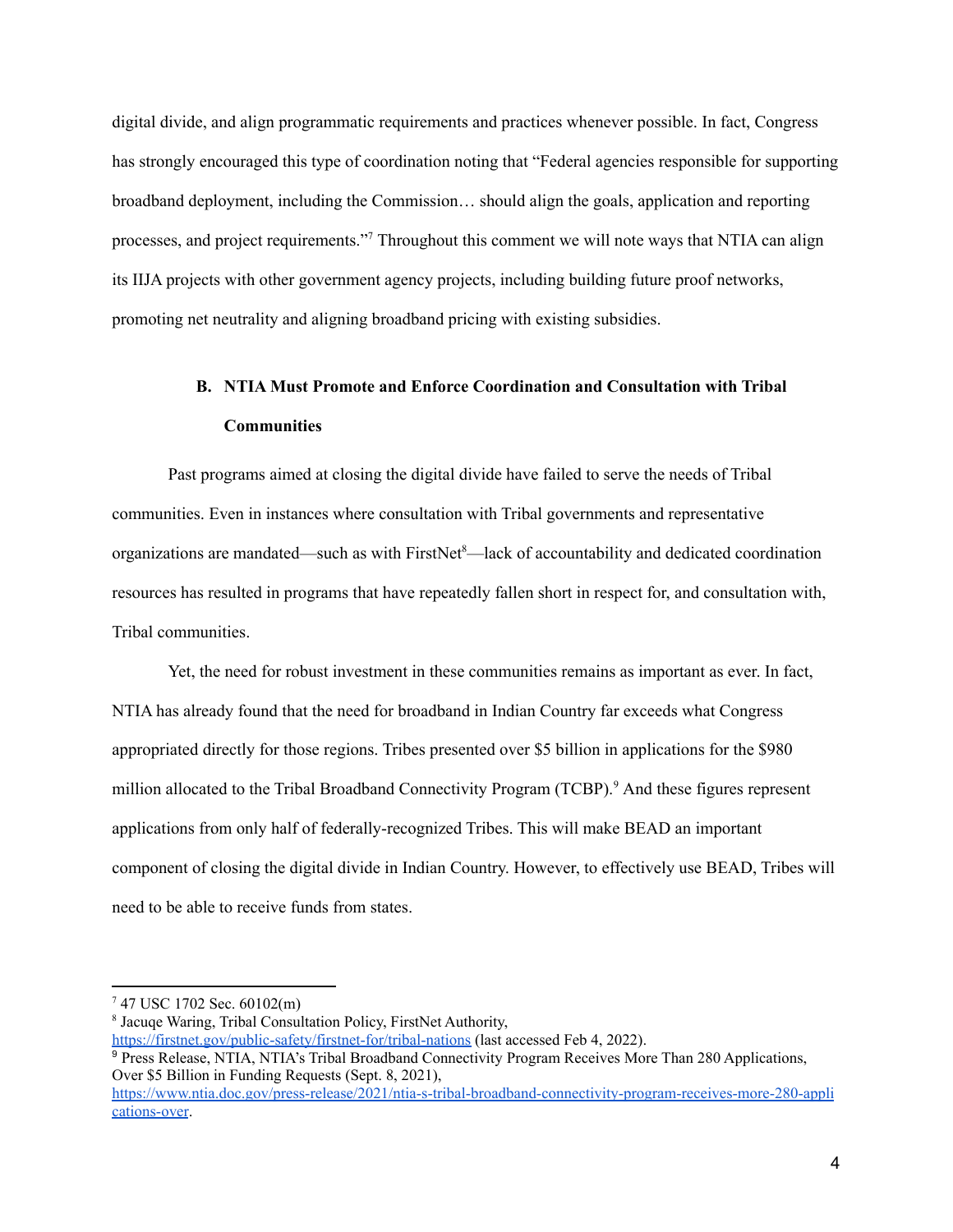digital divide, and align programmatic requirements and practices whenever possible. In fact, Congress has strongly encouraged this type of coordination noting that "Federal agencies responsible for supporting broadband deployment, including the Commission… should align the goals, application and reporting processes, and project requirements."<sup>7</sup> Throughout this comment we will note ways that NTIA can align its IIJA projects with other government agency projects, including building future proof networks, promoting net neutrality and aligning broadband pricing with existing subsidies.

## **B. NTIA Must Promote and Enforce Coordination and Consultation with Tribal Communities**

<span id="page-5-0"></span>Past programs aimed at closing the digital divide have failed to serve the needs of Tribal communities. Even in instances where consultation with Tribal governments and representative organizations are mandated—such as with FirstNet<sup>8</sup>—lack of accountability and dedicated coordination resources has resulted in programs that have repeatedly fallen short in respect for, and consultation with, Tribal communities.

Yet, the need for robust investment in these communities remains as important as ever. In fact, NTIA has already found that the need for broadband in Indian Country far exceeds what Congress appropriated directly for those regions. Tribes presented over \$5 billion in applications for the \$980 million allocated to the Tribal Broadband Connectivity Program (TCBP).<sup>9</sup> And these figures represent applications from only half of federally-recognized Tribes. This will make BEAD an important component of closing the digital divide in Indian Country. However, to effectively use BEAD, Tribes will need to be able to receive funds from states.

 $747$  USC 1702 Sec. 60102(m)

<sup>8</sup> Jacuqe Waring, Tribal Consultation Policy, FirstNet Authority,

<https://firstnet.gov/public-safety/firstnet-for/tribal-nations> (last accessed Feb 4, 2022).

<sup>9</sup> Press Release, NTIA, NTIA's Tribal Broadband Connectivity Program Receives More Than 280 Applications, Over \$5 Billion in Funding Requests (Sept. 8, 2021),

[https://www.ntia.doc.gov/press-release/2021/ntia-s-tribal-broadband-connectivity-program-receives-more-280-appli](https://www.ntia.doc.gov/press-release/2021/ntia-s-tribal-broadband-connectivity-program-receives-more-280-applications-over) [cations-over](https://www.ntia.doc.gov/press-release/2021/ntia-s-tribal-broadband-connectivity-program-receives-more-280-applications-over).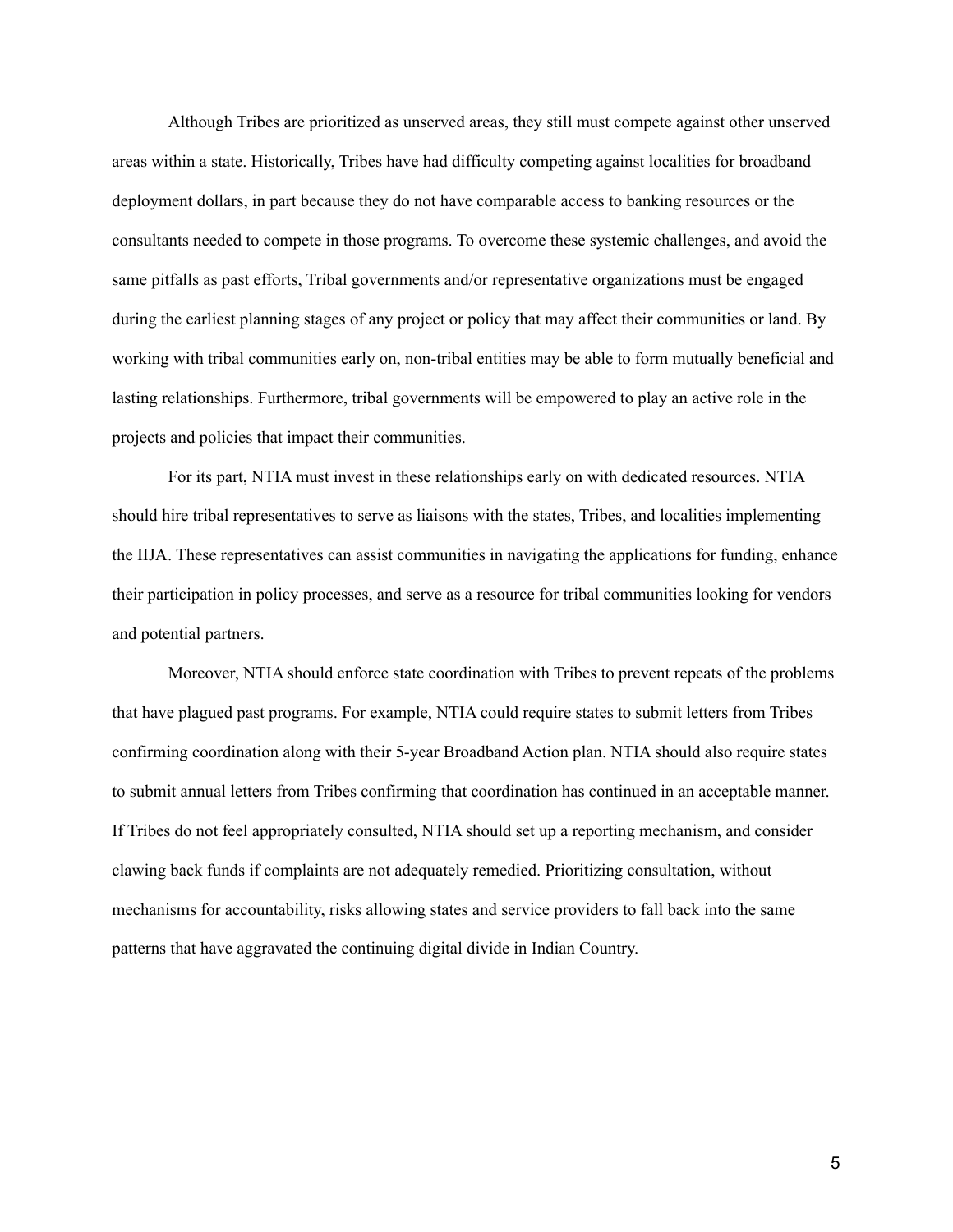Although Tribes are prioritized as unserved areas, they still must compete against other unserved areas within a state. Historically, Tribes have had difficulty competing against localities for broadband deployment dollars, in part because they do not have comparable access to banking resources or the consultants needed to compete in those programs. To overcome these systemic challenges, and avoid the same pitfalls as past efforts, Tribal governments and/or representative organizations must be engaged during the earliest planning stages of any project or policy that may affect their communities or land. By working with tribal communities early on, non-tribal entities may be able to form mutually beneficial and lasting relationships. Furthermore, tribal governments will be empowered to play an active role in the projects and policies that impact their communities.

For its part, NTIA must invest in these relationships early on with dedicated resources. NTIA should hire tribal representatives to serve as liaisons with the states, Tribes, and localities implementing the IIJA. These representatives can assist communities in navigating the applications for funding, enhance their participation in policy processes, and serve as a resource for tribal communities looking for vendors and potential partners.

Moreover, NTIA should enforce state coordination with Tribes to prevent repeats of the problems that have plagued past programs. For example, NTIA could require states to submit letters from Tribes confirming coordination along with their 5-year Broadband Action plan. NTIA should also require states to submit annual letters from Tribes confirming that coordination has continued in an acceptable manner. If Tribes do not feel appropriately consulted, NTIA should set up a reporting mechanism, and consider clawing back funds if complaints are not adequately remedied. Prioritizing consultation, without mechanisms for accountability, risks allowing states and service providers to fall back into the same patterns that have aggravated the continuing digital divide in Indian Country.

5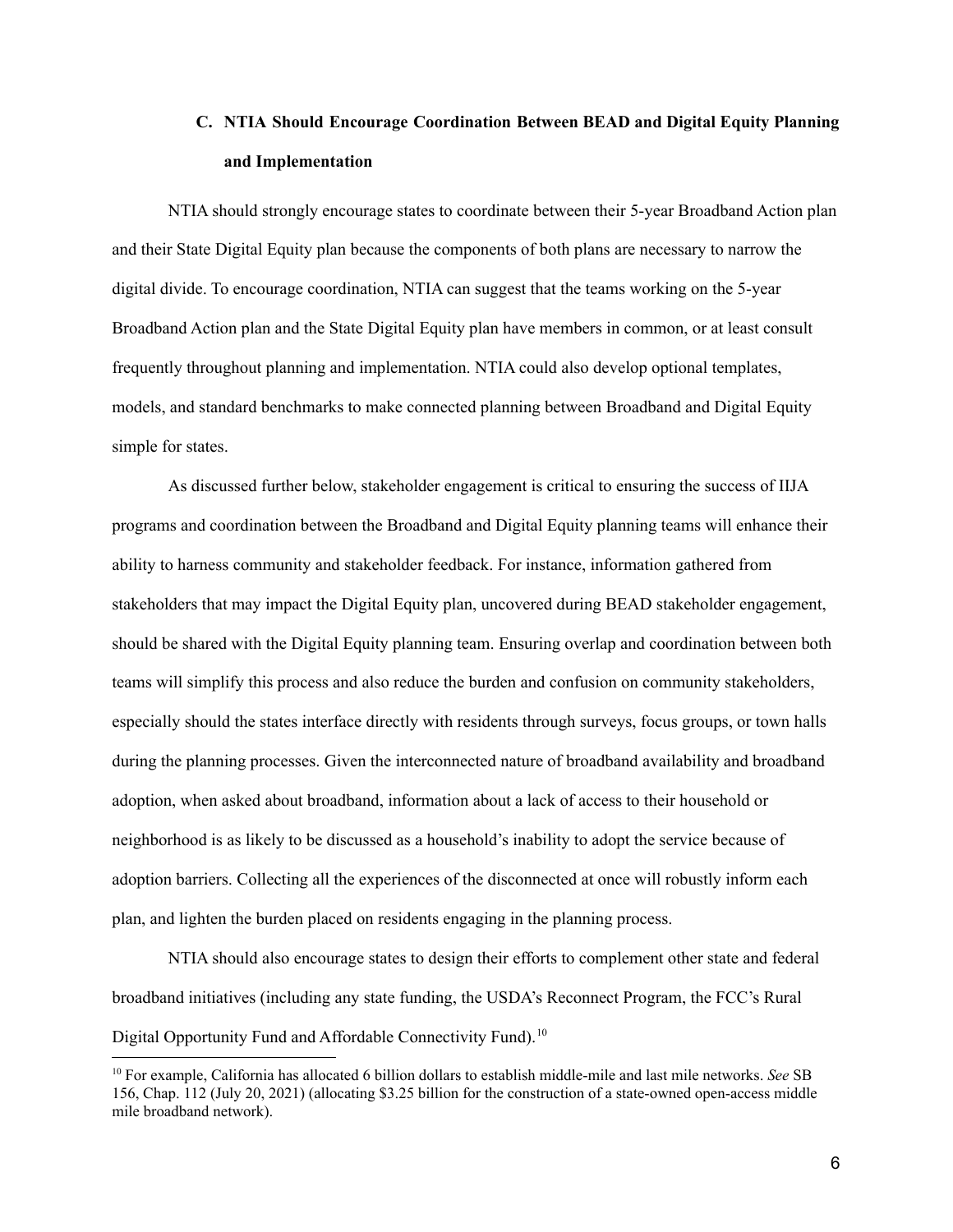## **C. NTIA Should Encourage Coordination Between BEAD and Digital Equity Planning and Implementation**

<span id="page-7-0"></span>NTIA should strongly encourage states to coordinate between their 5-year Broadband Action plan and their State Digital Equity plan because the components of both plans are necessary to narrow the digital divide. To encourage coordination, NTIA can suggest that the teams working on the 5-year Broadband Action plan and the State Digital Equity plan have members in common, or at least consult frequently throughout planning and implementation. NTIA could also develop optional templates, models, and standard benchmarks to make connected planning between Broadband and Digital Equity simple for states.

As discussed further below, stakeholder engagement is critical to ensuring the success of IIJA programs and coordination between the Broadband and Digital Equity planning teams will enhance their ability to harness community and stakeholder feedback. For instance, information gathered from stakeholders that may impact the Digital Equity plan, uncovered during BEAD stakeholder engagement, should be shared with the Digital Equity planning team. Ensuring overlap and coordination between both teams will simplify this process and also reduce the burden and confusion on community stakeholders, especially should the states interface directly with residents through surveys, focus groups, or town halls during the planning processes. Given the interconnected nature of broadband availability and broadband adoption, when asked about broadband, information about a lack of access to their household or neighborhood is as likely to be discussed as a household's inability to adopt the service because of adoption barriers. Collecting all the experiences of the disconnected at once will robustly inform each plan, and lighten the burden placed on residents engaging in the planning process.

NTIA should also encourage states to design their efforts to complement other state and federal broadband initiatives (including any state funding, the USDA's Reconnect Program, the FCC's Rural Digital Opportunity Fund and Affordable Connectivity Fund).<sup>10</sup>

<sup>10</sup> For example, California has allocated 6 billion dollars to establish middle-mile and last mile networks. *See* SB 156, Chap. 112 (July 20, 2021) (allocating \$3.25 billion for the construction of a state-owned open-access middle mile broadband network).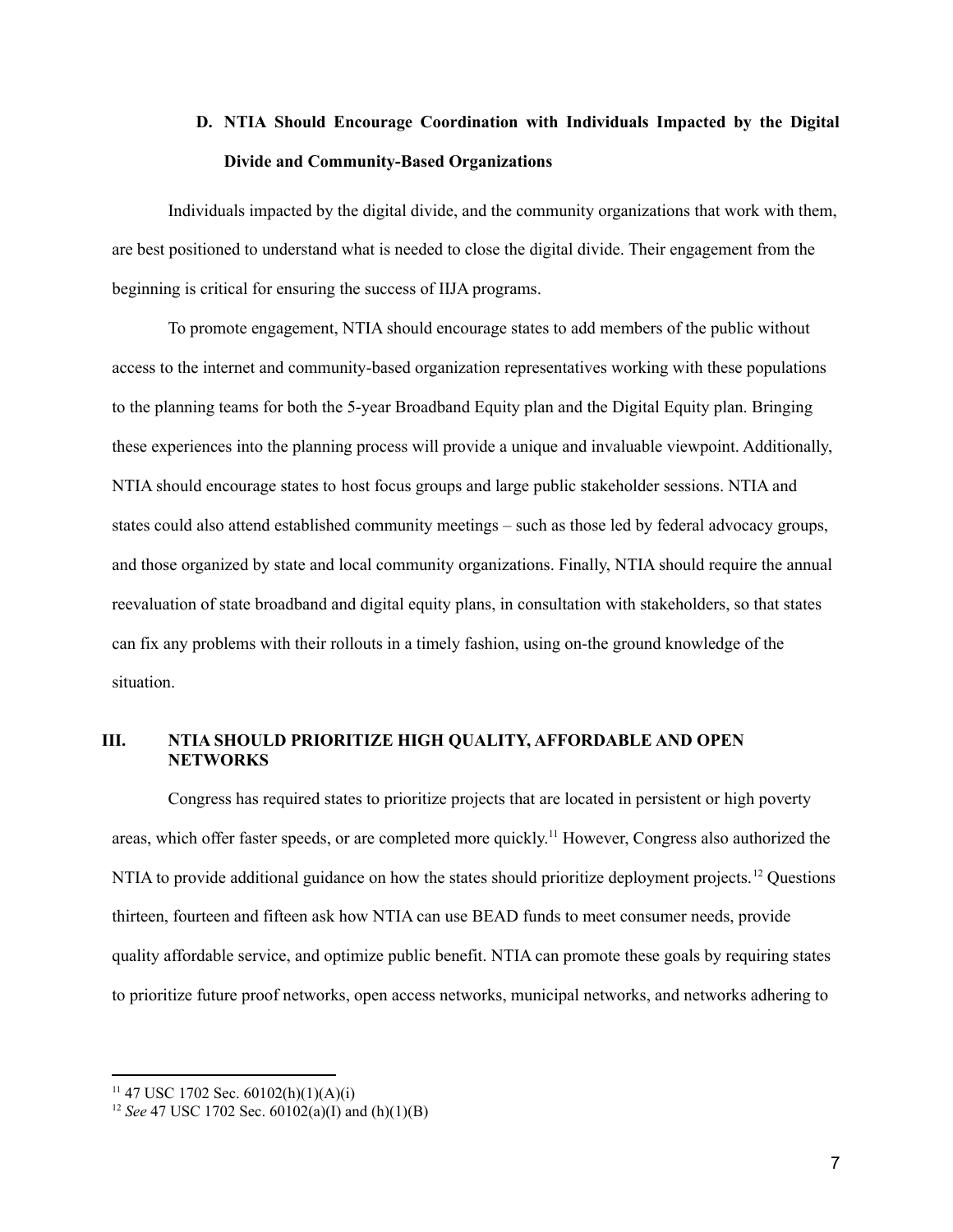## **D. NTIA Should Encourage Coordination with Individuals Impacted by the Digital Divide and Community-Based Organizations**

<span id="page-8-0"></span>Individuals impacted by the digital divide, and the community organizations that work with them, are best positioned to understand what is needed to close the digital divide. Their engagement from the beginning is critical for ensuring the success of IIJA programs.

To promote engagement, NTIA should encourage states to add members of the public without access to the internet and community-based organization representatives working with these populations to the planning teams for both the 5-year Broadband Equity plan and the Digital Equity plan. Bringing these experiences into the planning process will provide a unique and invaluable viewpoint. Additionally, NTIA should encourage states to host focus groups and large public stakeholder sessions. NTIA and states could also attend established community meetings – such as those led by federal advocacy groups, and those organized by state and local community organizations. Finally, NTIA should require the annual reevaluation of state broadband and digital equity plans, in consultation with stakeholders, so that states can fix any problems with their rollouts in a timely fashion, using on-the ground knowledge of the situation.

## <span id="page-8-1"></span>**III. NTIA SHOULD PRIORITIZE HIGH QUALITY, AFFORDABLE AND OPEN NETWORKS**

Congress has required states to prioritize projects that are located in persistent or high poverty areas, which offer faster speeds, or are completed more quickly.<sup>11</sup> However, Congress also authorized the NTIA to provide additional guidance on how the states should prioritize deployment projects.<sup>12</sup> Questions thirteen, fourteen and fifteen ask how NTIA can use BEAD funds to meet consumer needs, provide quality affordable service, and optimize public benefit. NTIA can promote these goals by requiring states to prioritize future proof networks, open access networks, municipal networks, and networks adhering to

<sup>&</sup>lt;sup>11</sup> 47 USC 1702 Sec. 60102(h)(1)(A)(i)

<sup>&</sup>lt;sup>12</sup> *See* 47 USC 1702 Sec.  $60102(a)(I)$  and  $(h)(1)(B)$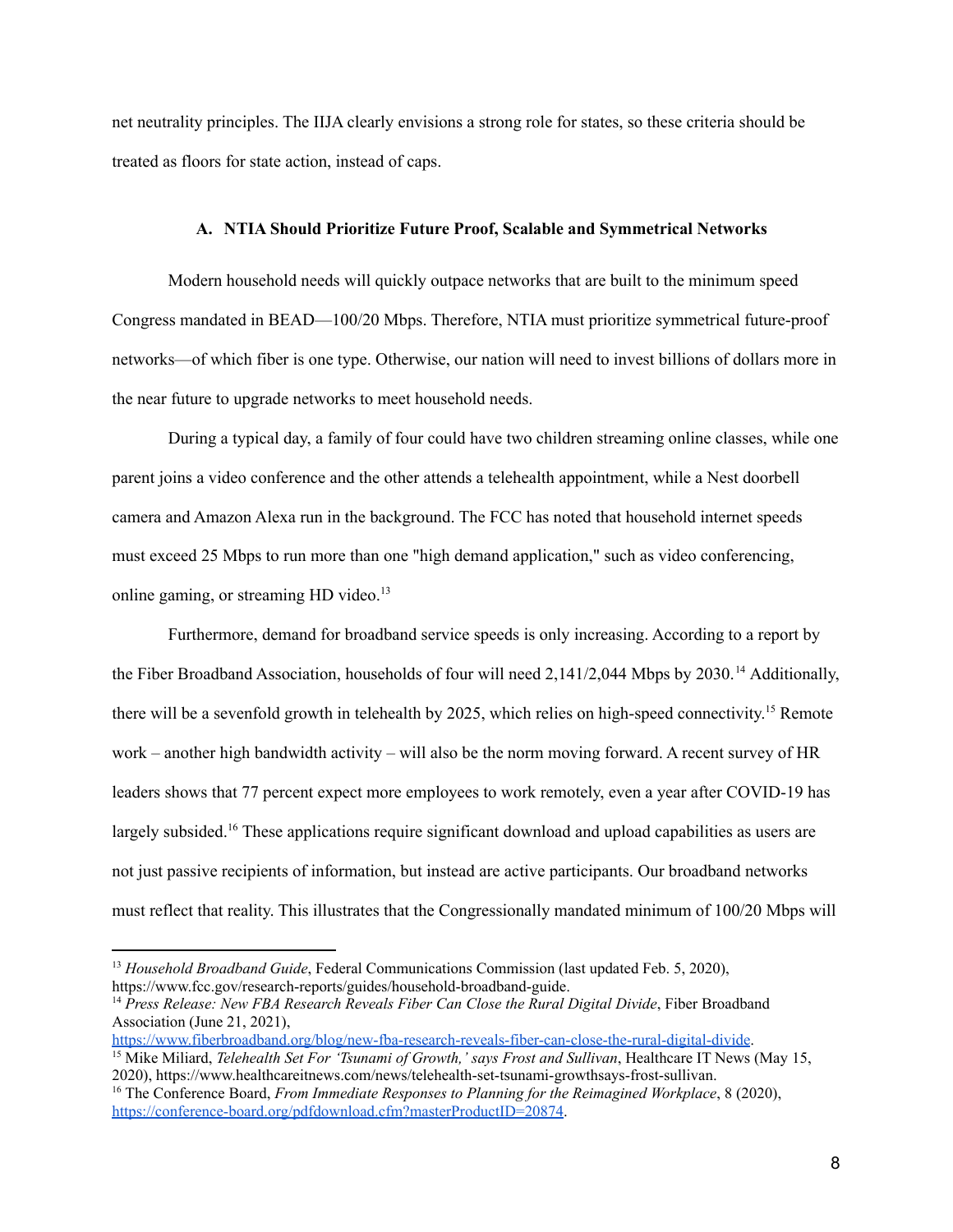<span id="page-9-0"></span>net neutrality principles. The IIJA clearly envisions a strong role for states, so these criteria should be treated as floors for state action, instead of caps.

#### **A. NTIA Should Prioritize Future Proof, Scalable and Symmetrical Networks**

Modern household needs will quickly outpace networks that are built to the minimum speed Congress mandated in BEAD—100/20 Mbps. Therefore, NTIA must prioritize symmetrical future-proof networks—of which fiber is one type. Otherwise, our nation will need to invest billions of dollars more in the near future to upgrade networks to meet household needs.

During a typical day, a family of four could have two children streaming online classes, while one parent joins a video conference and the other attends a telehealth appointment, while a Nest doorbell camera and Amazon Alexa run in the background. The FCC has noted that household internet speeds must exceed 25 Mbps to run more than one "high demand application," such as video conferencing, online gaming, or streaming HD video.<sup>13</sup>

Furthermore, demand for broadband service speeds is only increasing. According to a report by the Fiber Broadband Association, households of four will need 2,141/2,044 Mbps by 2030.<sup>14</sup> Additionally, there will be a sevenfold growth in telehealth by 2025, which relies on high-speed connectivity.<sup>15</sup> Remote work – another high bandwidth activity – will also be the norm moving forward. A recent survey of HR leaders shows that 77 percent expect more employees to work remotely, even a year after COVID-19 has largely subsided.<sup>16</sup> These applications require significant download and upload capabilities as users are not just passive recipients of information, but instead are active participants. Our broadband networks must reflect that reality. This illustrates that the Congressionally mandated minimum of 100/20 Mbps will

<https://www.fiberbroadband.org/blog/new-fba-research-reveals-fiber-can-close-the-rural-digital-divide>.

<sup>13</sup> *Household Broadband Guide*, Federal Communications Commission (last updated Feb. 5, 2020), https://www.fcc.gov/research-reports/guides/household-broadband-guide.

<sup>14</sup> *Press Release: New FBA Research Reveals Fiber Can Close the Rural Digital Divide*, Fiber Broadband Association (June 21, 2021),

<sup>15</sup> Mike Miliard, *Telehealth Set For 'Tsunami of Growth,' says Frost and Sullivan*, Healthcare IT News (May 15, 2020), https://www.healthcareitnews.com/news/telehealth-set-tsunami-growthsays-frost-sullivan.

<sup>16</sup> The Conference Board, *From Immediate Responses to Planning for the Reimagined Workplace*, 8 (2020), <https://conference-board.org/pdfdownload.cfm?masterProductID=20874>.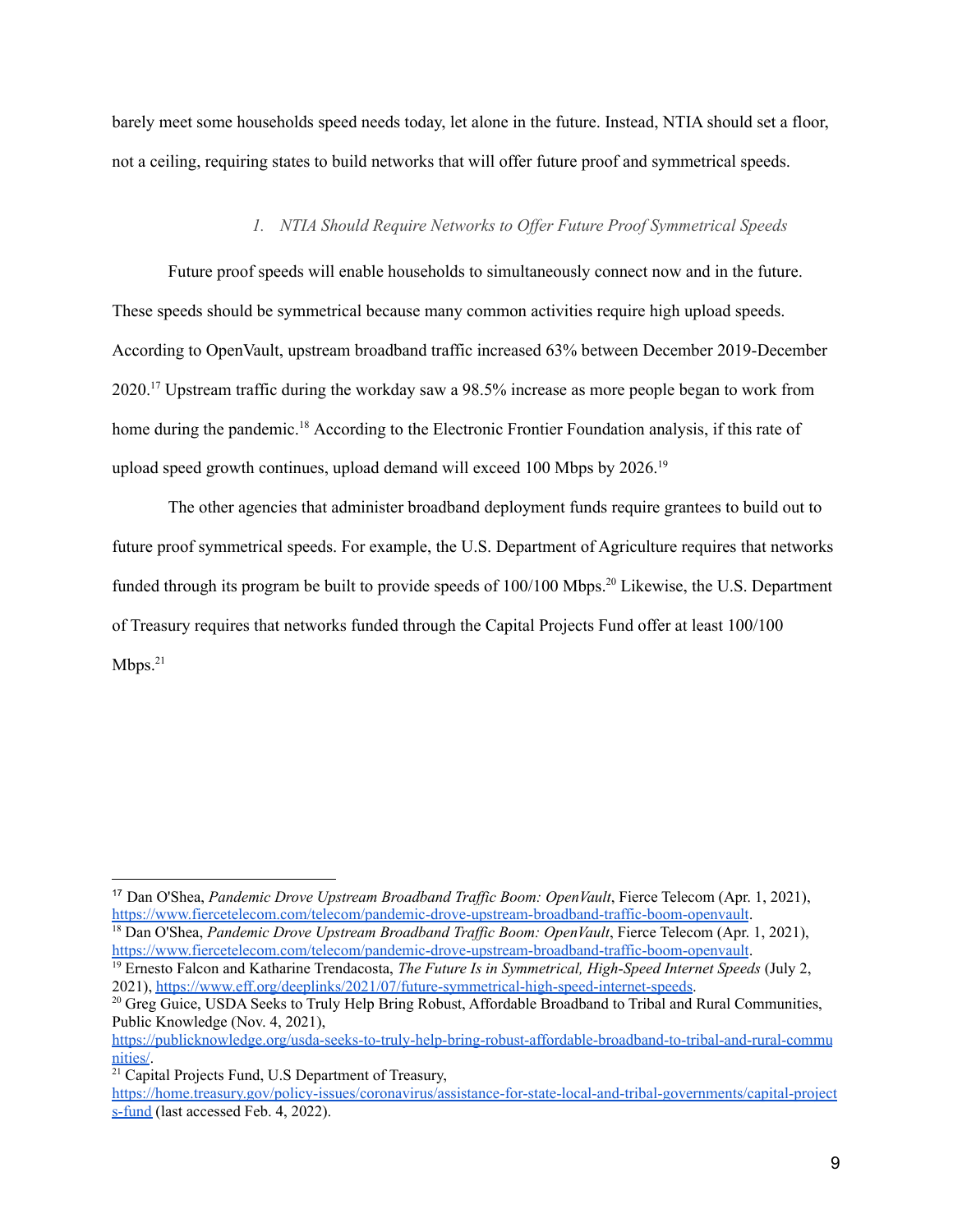barely meet some households speed needs today, let alone in the future. Instead, NTIA should set a floor, not a ceiling, requiring states to build networks that will offer future proof and symmetrical speeds.

#### *1. NTIA Should Require Networks to Of er Future Proof Symmetrical Speeds*

<span id="page-10-0"></span>Future proof speeds will enable households to simultaneously connect now and in the future. These speeds should be symmetrical because many common activities require high upload speeds. According to OpenVault, upstream broadband traffic increased 63% between December 2019-December 2020.<sup>17</sup> Upstream traffic during the workday saw a 98.5% increase as more people began to work from home during the pandemic.<sup>18</sup> According to the Electronic Frontier Foundation analysis, if this rate of upload speed growth continues, upload demand will exceed 100 Mbps by 2026. 19

The other agencies that administer broadband deployment funds require grantees to build out to future proof symmetrical speeds. For example, the U.S. Department of Agriculture requires that networks funded through its program be built to provide speeds of 100/100 Mbps. <sup>20</sup> Likewise, the U.S. Department of Treasury requires that networks funded through the Capital Projects Fund offer at least 100/100  $Mbps.^{21}$ 

<sup>&</sup>lt;sup>17</sup> Dan O'Shea, *Pandemic Drove Upstream Broadband Traffic Boom: OpenVault*, Fierce Telecom (Apr. 1, 2021), <https://www.fiercetelecom.com/telecom/pandemic-drove-upstream-broadband-traffic-boom-openvault>.

<sup>&</sup>lt;sup>18</sup> Dan O'Shea, *Pandemic Drove Upstream Broadband Traffic Boom: OpenVault*, Fierce Telecom (Apr. 1, 2021), <https://www.fiercetelecom.com/telecom/pandemic-drove-upstream-broadband-traffic-boom-openvault>.

<sup>19</sup> Ernesto Falcon and Katharine Trendacosta, *The Future Is in Symmetrical, High-Speed Internet Speeds* (July 2, 2021), <https://www.eff.org/deeplinks/2021/07/future-symmetrical-high-speed-internet-speeds>.

<sup>&</sup>lt;sup>20</sup> Greg Guice, USDA Seeks to Truly Help Bring Robust, Affordable Broadband to Tribal and Rural Communities, Public Knowledge (Nov. 4, 2021),

[https://publicknowledge.org/usda-seeks-to-truly-help-bring-robust-affordable-broadband-to-tribal-and-rural-commu](https://publicknowledge.org/usda-seeks-to-truly-help-bring-robust-affordable-broadband-to-tribal-and-rural-communities/) [nities/](https://publicknowledge.org/usda-seeks-to-truly-help-bring-robust-affordable-broadband-to-tribal-and-rural-communities/).

 $21$  Capital Projects Fund, U.S Department of Treasury,

[https://home.treasury.gov/policy-issues/coronavirus/assistance-for-state-local-and-tribal-governments/capital-project](https://home.treasury.gov/policy-issues/coronavirus/assistance-for-state-local-and-tribal-governments/capital-projects-fund) [s-fund](https://home.treasury.gov/policy-issues/coronavirus/assistance-for-state-local-and-tribal-governments/capital-projects-fund) (last accessed Feb. 4, 2022).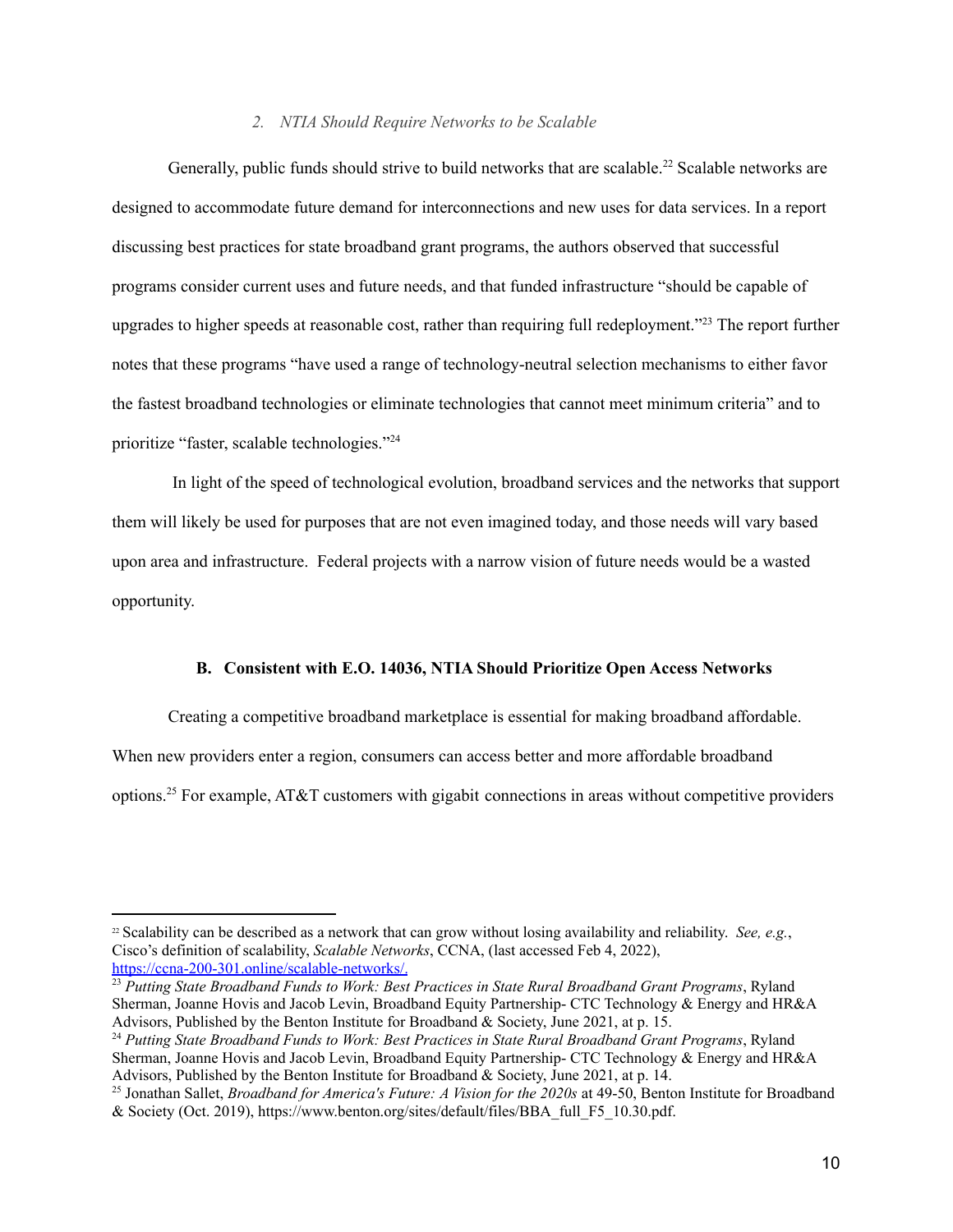#### *2. NTIA Should Require Networks to be Scalable*

<span id="page-11-0"></span>Generally, public funds should strive to build networks that are scalable.<sup>22</sup> Scalable networks are designed to accommodate future demand for interconnections and new uses for data services. In a report discussing best practices for state broadband grant programs, the authors observed that successful programs consider current uses and future needs, and that funded infrastructure "should be capable of upgrades to higher speeds at reasonable cost, rather than requiring full redeployment." <sup>23</sup> The report further notes that these programs "have used a range of technology-neutral selection mechanisms to either favor the fastest broadband technologies or eliminate technologies that cannot meet minimum criteria" and to prioritize "faster, scalable technologies." 24

In light of the speed of technological evolution, broadband services and the networks that support them will likely be used for purposes that are not even imagined today, and those needs will vary based upon area and infrastructure. Federal projects with a narrow vision of future needs would be a wasted opportunity.

#### <span id="page-11-1"></span>**B. Consistent with E.O. 14036, NTIA Should Prioritize Open Access Networks**

Creating a competitive broadband marketplace is essential for making broadband affordable.

When new providers enter a region, consumers can access better and more affordable broadband

options. <sup>25</sup> For example, AT&T customers with gigabit connections in areas without competitive providers

<sup>22</sup> Scalability can be described as a network that can grow without losing availability and reliability. *See, e.g.*, Cisco's definition of scalability, *Scalable Networks*, CCNA, (last accessed Feb 4, 2022), [https://ccna-200-301.online/scalable-networks/.](https://ccna-200-301.online/scalable-networks/)

<sup>23</sup> *Putting State Broadband Funds to Work: Best Practices in State Rural Broadband Grant Programs*, Ryland Sherman, Joanne Hovis and Jacob Levin, Broadband Equity Partnership- CTC Technology & Energy and HR&A Advisors, Published by the Benton Institute for Broadband & Society, June 2021, at p. 15.

<sup>24</sup> *Putting State Broadband Funds to Work: Best Practices in State Rural Broadband Grant Programs*, Ryland Sherman, Joanne Hovis and Jacob Levin, Broadband Equity Partnership- CTC Technology & Energy and HR&A Advisors, Published by the Benton Institute for Broadband  $\&$  Society, June 2021, at p. 14.

<sup>25</sup> Jonathan Sallet, *Broadband for America's Future: A Vision for the 2020s* at 49-50, Benton Institute for Broadband & Society (Oct. 2019), https://www.benton.org/sites/default/files/BBA\_full\_F5\_10.30.pdf.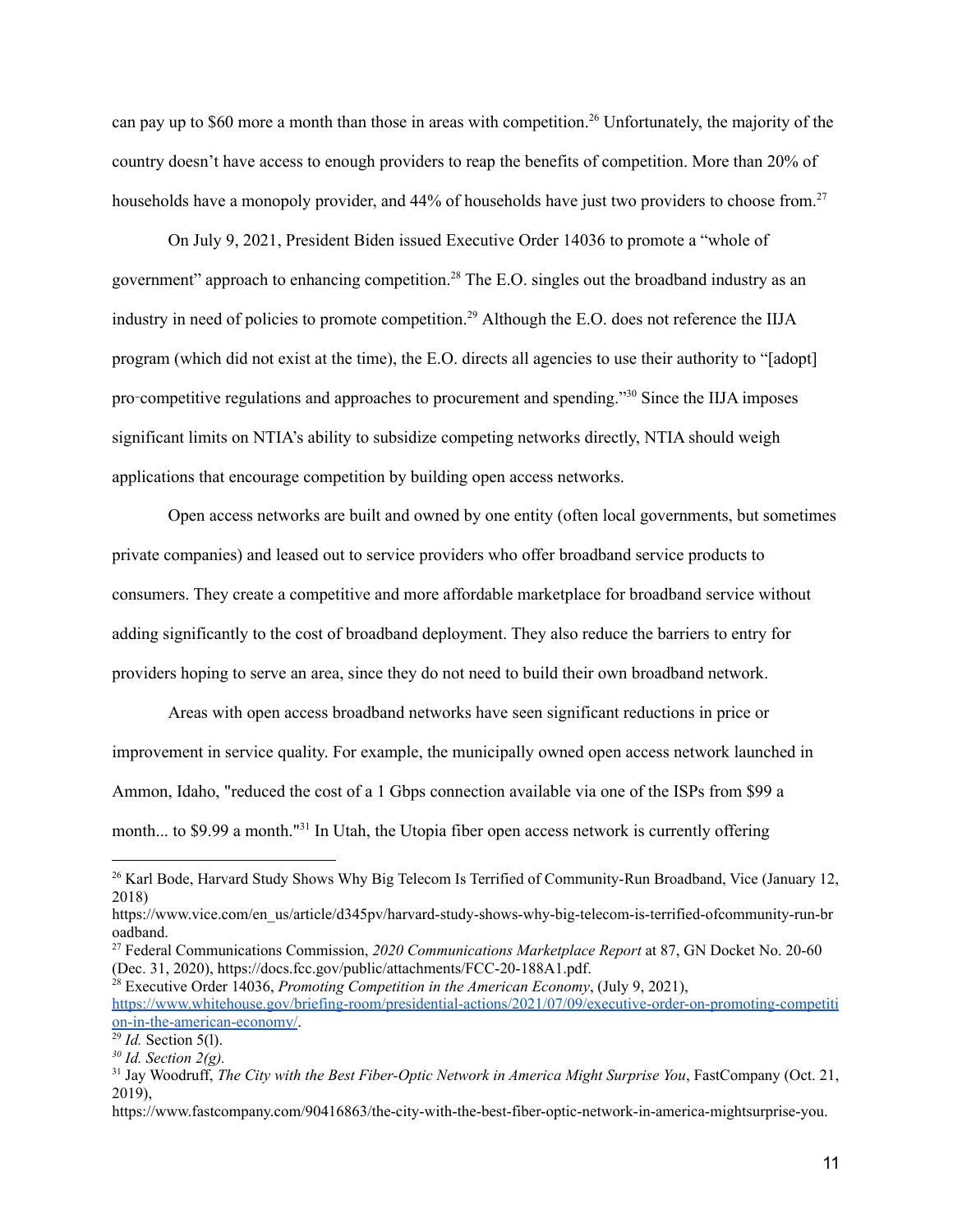can pay up to \$60 more a month than those in areas with competition. <sup>26</sup> Unfortunately, the majority of the country doesn't have access to enough providers to reap the benefits of competition. More than 20% of households have a monopoly provider, and 44% of households have just two providers to choose from.<sup>27</sup>

On July 9, 2021, President Biden issued Executive Order 14036 to promote a "whole of government" approach to enhancing competition.<sup>28</sup> The E.O. singles out the broadband industry as an industry in need of policies to promote competition. <sup>29</sup> Although the E.O. does not reference the IIJA program (which did not exist at the time), the E.O. directs all agencies to use their authority to "[adopt] pro-competitive regulations and approaches to procurement and spending."<sup>30</sup> Since the IIJA imposes significant limits on NTIA's ability to subsidize competing networks directly, NTIA should weigh applications that encourage competition by building open access networks.

Open access networks are built and owned by one entity (often local governments, but sometimes private companies) and leased out to service providers who offer broadband service products to consumers. They create a competitive and more affordable marketplace for broadband service without adding significantly to the cost of broadband deployment. They also reduce the barriers to entry for providers hoping to serve an area, since they do not need to build their own broadband network.

Areas with open access broadband networks have seen significant reductions in price or improvement in service quality. For example, the municipally owned open access network launched in Ammon, Idaho, "reduced the cost of a 1 Gbps connection available via one of the ISPs from \$99 a month... to \$9.99 a month."<sup>31</sup> In Utah, the Utopia fiber open access network is currently offering

<sup>28</sup> Executive Order 14036, *Promoting Competition in the American Economy*, (July 9, 2021), [https://www.whitehouse.gov/briefing-room/presidential-actions/2021/07/09/executive-order-on-promoting-competiti](https://www.whitehouse.gov/briefing-room/presidential-actions/2021/07/09/executive-order-on-promoting-competition-in-the-american-economy/) [on-in-the-american-economy/](https://www.whitehouse.gov/briefing-room/presidential-actions/2021/07/09/executive-order-on-promoting-competition-in-the-american-economy/).

<sup>&</sup>lt;sup>26</sup> Karl Bode, Harvard Study Shows Why Big Telecom Is Terrified of Community-Run Broadband, Vice (January 12, 2018)

https://www.vice.com/en\_us/article/d345pv/harvard-study-shows-why-big-telecom-is-terrified-ofcommunity-run-br oadband.

<sup>27</sup> Federal Communications Commission, *2020 Communications Marketplace Report* at 87, GN Docket No. 20-60 (Dec. 31, 2020), https://docs.fcc.gov/public/attachments/FCC-20-188A1.pdf.

<sup>29</sup> *Id.* Section 5(l).

*<sup>30</sup> Id. Section 2(g).*

<sup>31</sup> Jay Woodruff, *The City with the Best Fiber-Optic Network in America Might Surprise You*, FastCompany (Oct. 21, 2019),

https://www.fastcompany.com/90416863/the-city-with-the-best-fiber-optic-network-in-america-mightsurprise-you.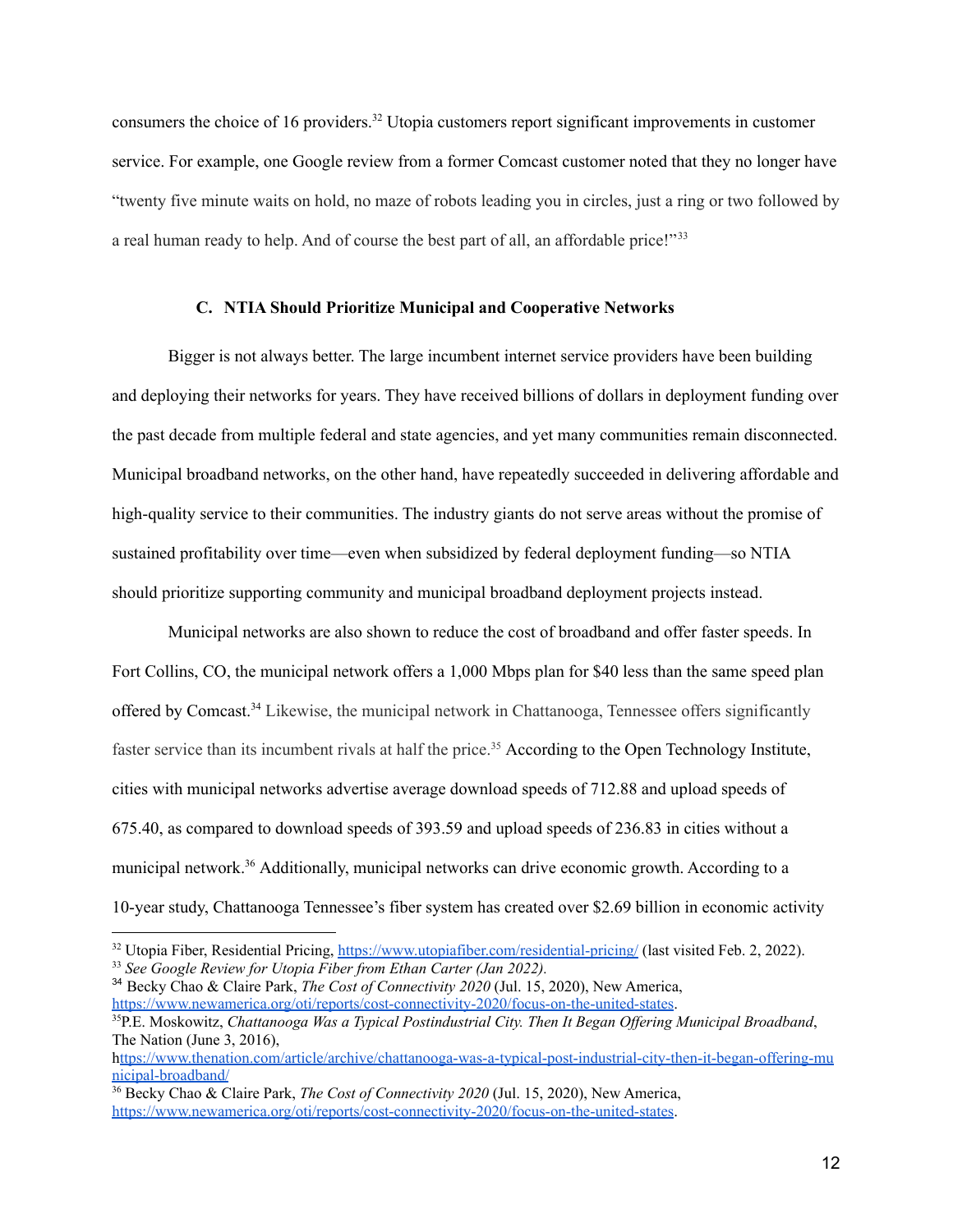consumers the choice of 16 providers. <sup>32</sup> Utopia customers report significant improvements in customer service. For example, one Google review from a former Comcast customer noted that they no longer have "twenty five minute waits on hold, no maze of robots leading you in circles, just a ring or two followed by a real human ready to help. And of course the best part of all, an affordable price!"<sup>33</sup>

#### **C. NTIA Should Prioritize Municipal and Cooperative Networks**

<span id="page-13-0"></span>Bigger is not always better. The large incumbent internet service providers have been building and deploying their networks for years. They have received billions of dollars in deployment funding over the past decade from multiple federal and state agencies, and yet many communities remain disconnected. Municipal broadband networks, on the other hand, have repeatedly succeeded in delivering affordable and high-quality service to their communities. The industry giants do not serve areas without the promise of sustained profitability over time—even when subsidized by federal deployment funding—so NTIA should prioritize supporting community and municipal broadband deployment projects instead.

Municipal networks are also shown to reduce the cost of broadband and offer faster speeds. In Fort Collins, CO, the municipal network offers a 1,000 Mbps plan for \$40 less than the same speed plan offered by Comcast.<sup>34</sup> Likewise, the municipal network in Chattanooga, Tennessee offers significantly faster service than its incumbent rivals at half the price.<sup>35</sup> According to the Open Technology Institute, cities with municipal networks advertise average download speeds of 712.88 and upload speeds of 675.40, as compared to download speeds of 393.59 and upload speeds of 236.83 in cities without a municipal network.<sup>36</sup> Additionally, municipal networks can drive economic growth. According to a 10-year study, Chattanooga Tennessee's fiber system has created over \$2.69 billion in economic activity

<sup>34</sup> Becky Chao & Claire Park, *The Cost of Connectivity 2020* (Jul. 15, 2020), New America, <https://www.newamerica.org/oti/reports/cost-connectivity-2020/focus-on-the-united-states>.

<sup>&</sup>lt;sup>32</sup> Utopia Fiber, Residential Pricing, <https://www.utopiafiber.com/residential-pricing/> (last visited Feb. 2, 2022).

<sup>33</sup> *See Google Review for Utopia Fiber from Ethan Carter (Jan 2022).*

<sup>35</sup>P.E. Moskowitz, *Chattanooga Was a Typical Postindustrial City. Then It Began Of ering Municipal Broadband*, The Nation (June 3, 2016),

h[ttps://www.thenation.com/article/archive/chattanooga-was-a-typical-post-industrial-city-then-it-began-offering-mu](https://www.thenation.com/article/archive/chattanooga-was-a-typical-post-industrial-city-then-it-began-offering-municipal-broadband/) [nicipal-broadband/](https://www.thenation.com/article/archive/chattanooga-was-a-typical-post-industrial-city-then-it-began-offering-municipal-broadband/)

<sup>36</sup> Becky Chao & Claire Park, *The Cost of Connectivity 2020* (Jul. 15, 2020), New America, <https://www.newamerica.org/oti/reports/cost-connectivity-2020/focus-on-the-united-states>.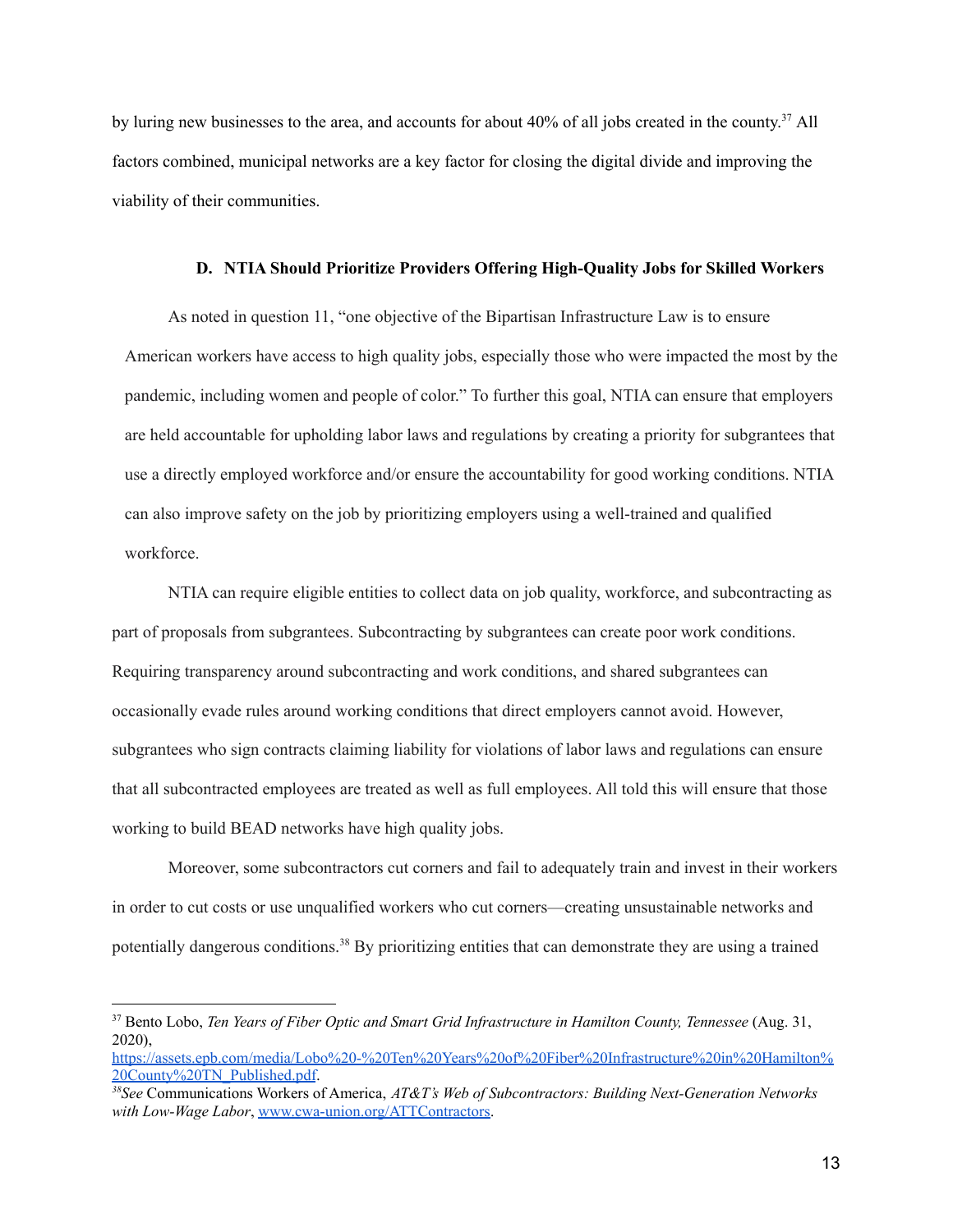by luring new businesses to the area, and accounts for about 40% of all jobs created in the county.<sup>37</sup> All factors combined, municipal networks are a key factor for closing the digital divide and improving the viability of their communities.

### **D. NTIA Should Prioritize Providers Offering High-Quality Jobs for Skilled Workers**

<span id="page-14-0"></span>As noted in question 11, "one objective of the Bipartisan Infrastructure Law is to ensure American workers have access to high quality jobs, especially those who were impacted the most by the pandemic, including women and people of color." To further this goal, NTIA can ensure that employers are held accountable for upholding labor laws and regulations by creating a priority for subgrantees that use a directly employed workforce and/or ensure the accountability for good working conditions. NTIA can also improve safety on the job by prioritizing employers using a well-trained and qualified workforce.

NTIA can require eligible entities to collect data on job quality, workforce, and subcontracting as part of proposals from subgrantees. Subcontracting by subgrantees can create poor work conditions. Requiring transparency around subcontracting and work conditions, and shared subgrantees can occasionally evade rules around working conditions that direct employers cannot avoid. However, subgrantees who sign contracts claiming liability for violations of labor laws and regulations can ensure that all subcontracted employees are treated as well as full employees. All told this will ensure that those working to build BEAD networks have high quality jobs.

Moreover, some subcontractors cut corners and fail to adequately train and invest in their workers in order to cut costs or use unqualified workers who cut corners—creating unsustainable networks and potentially dangerous conditions.<sup>38</sup> By prioritizing entities that can demonstrate they are using a trained

<sup>37</sup> Bento Lobo, *Ten Years of Fiber Optic and Smart Grid Infrastructure in Hamilton County, Tennessee* (Aug. 31, 2020),

[https://assets.epb.com/media/Lobo%20-%20Ten%20Years%20of%20Fiber%20Infrastructure%20in%20Hamilton%](https://assets.epb.com/media/Lobo%20-%20Ten%20Years%20of%20Fiber%20Infrastructure%20in%20Hamilton%20County%20TN_Published.pdf) [20County%20TN\\_Published.pdf](https://assets.epb.com/media/Lobo%20-%20Ten%20Years%20of%20Fiber%20Infrastructure%20in%20Hamilton%20County%20TN_Published.pdf).

*<sup>38</sup>See* Communications Workers of America, *AT&T's Web of Subcontractors: Building Next-Generation Networks with Low-Wage Labor*, [www.cwa-union.org/ATTContractors](http://www.cwa-union.org/ATTContractors).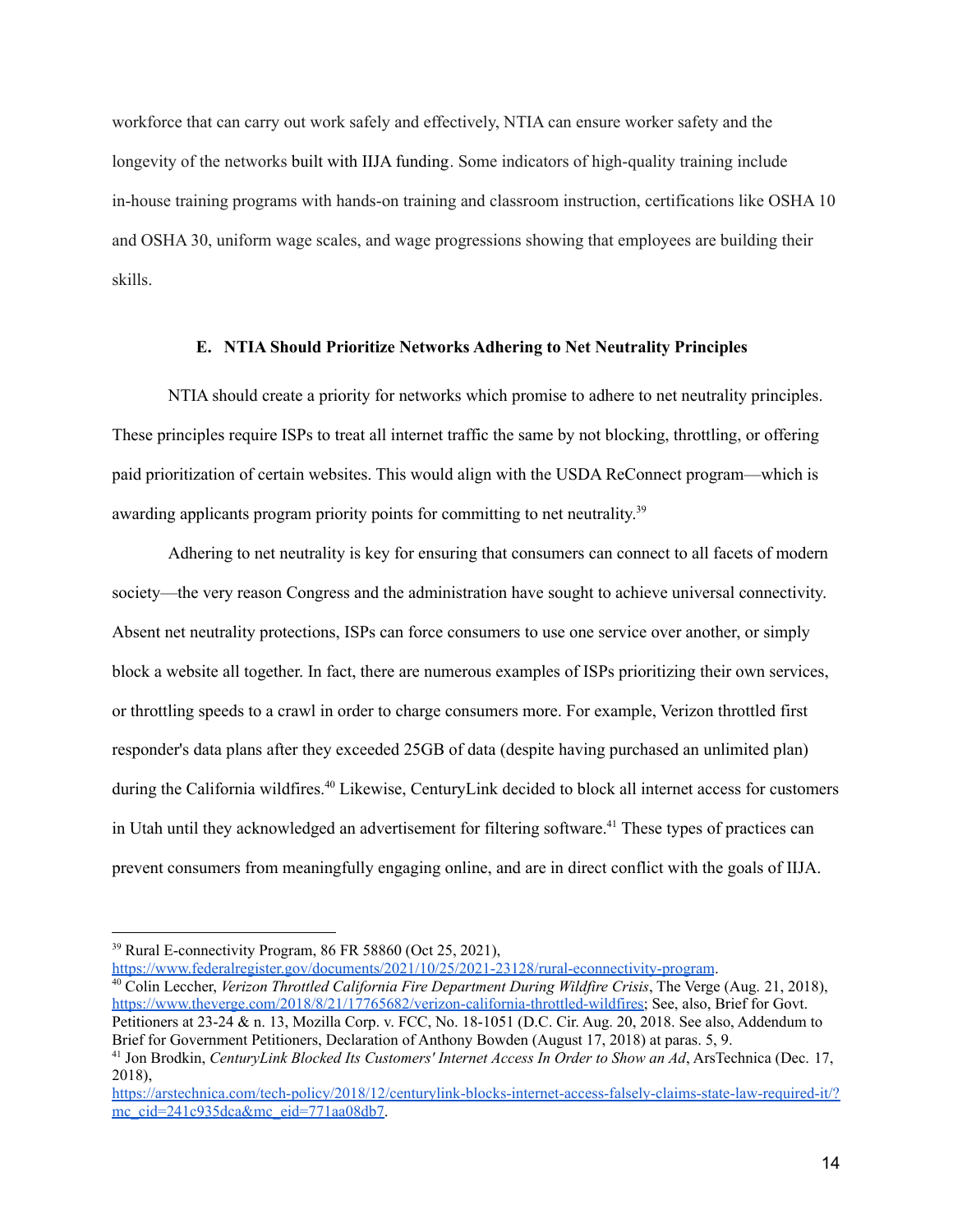workforce that can carry out work safely and effectively, NTIA can ensure worker safety and the longevity of the networks built with IIJA funding. Some indicators of high-quality training include in-house training programs with hands-on training and classroom instruction, certifications like OSHA 10 and OSHA 30, uniform wage scales, and wage progressions showing that employees are building their skills.

#### **E. NTIA Should Prioritize Networks Adhering to Net Neutrality Principles**

<span id="page-15-0"></span>NTIA should create a priority for networks which promise to adhere to net neutrality principles. These principles require ISPs to treat all internet traffic the same by not blocking, throttling, or offering paid prioritization of certain websites. This would align with the USDA ReConnect program—which is awarding applicants program priority points for committing to net neutrality.<sup>39</sup>

Adhering to net neutrality is key for ensuring that consumers can connect to all facets of modern society—the very reason Congress and the administration have sought to achieve universal connectivity. Absent net neutrality protections, ISPs can force consumers to use one service over another, or simply block a website all together. In fact, there are numerous examples of ISPs prioritizing their own services, or throttling speeds to a crawl in order to charge consumers more. For example, Verizon throttled first responder's data plans after they exceeded 25GB of data (despite having purchased an unlimited plan) during the California wildfires. <sup>40</sup> Likewise, CenturyLink decided to block all internet access for customers in Utah until they acknowledged an advertisement for filtering software.<sup>41</sup> These types of practices can prevent consumers from meaningfully engaging online, and are in direct conflict with the goals of IIJA.

<https://www.federalregister.gov/documents/2021/10/25/2021-23128/rural-econnectivity-program>.

 $39$  Rural E-connectivity Program, 86 FR 58860 (Oct 25, 2021),

<sup>40</sup> Colin Leccher, *Verizon Throttled California Fire Department During Wildfire Crisis*, The Verge (Aug. 21, 2018), [https://www.theverge.com/2018/8/21/17765682/verizon-california-throttled-wildfires;](https://www.theverge.com/2018/8/21/17765682/verizon-california-throttled-wildfires) See, also, Brief for Govt. Petitioners at 23-24 & n. 13, Mozilla Corp. v. FCC, No. 18-1051 (D.C. Cir. Aug. 20, 2018. See also, Addendum to Brief for Government Petitioners, Declaration of Anthony Bowden (August 17, 2018) at paras. 5, 9.

<sup>41</sup> Jon Brodkin, *CenturyLink Blocked Its Customers' Internet Access In Order to Show an Ad*, ArsTechnica (Dec. 17, 2018),

[https://arstechnica.com/tech-policy/2018/12/centurylink-blocks-internet-access-falsely-claims-state-law-required-it/?](https://arstechnica.com/tech-policy/2018/12/centurylink-blocks-internet-access-falsely-claims-state-law-required-it/?mc_cid=241c935dca&mc_eid=771aa08db7) [mc\\_cid=241c935dca&mc\\_eid=771aa08db7](https://arstechnica.com/tech-policy/2018/12/centurylink-blocks-internet-access-falsely-claims-state-law-required-it/?mc_cid=241c935dca&mc_eid=771aa08db7).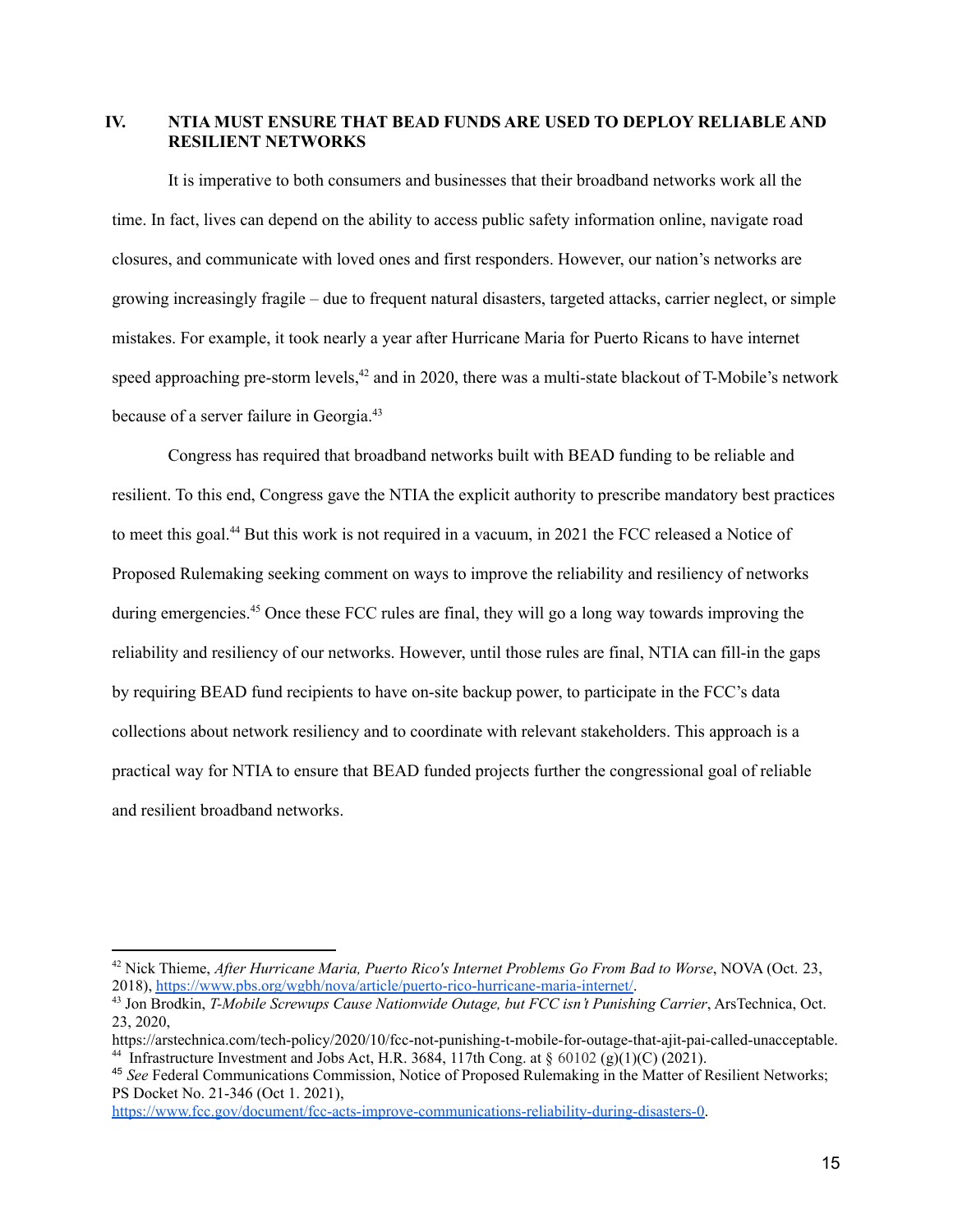## <span id="page-16-0"></span>**IV. NTIA MUST ENSURE THAT BEAD FUNDS ARE USED TO DEPLOY RELIABLE AND RESILIENT NETWORKS**

It is imperative to both consumers and businesses that their broadband networks work all the time. In fact, lives can depend on the ability to access public safety information online, navigate road closures, and communicate with loved ones and first responders. However, our nation's networks are growing increasingly fragile – due to frequent natural disasters, targeted attacks, carrier neglect, or simple mistakes. For example, it took nearly a year after Hurricane Maria for Puerto Ricans to have internet speed approaching pre-storm levels,<sup>42</sup> and in 2020, there was a multi-state blackout of T-Mobile's network because of a server failure in Georgia.<sup>43</sup>

Congress has required that broadband networks built with BEAD funding to be reliable and resilient. To this end, Congress gave the NTIA the explicit authority to prescribe mandatory best practices to meet this goal. <sup>44</sup> But this work is not required in a vacuum, in 2021 the FCC released a Notice of Proposed Rulemaking seeking comment on ways to improve the reliability and resiliency of networks during emergencies.<sup>45</sup> Once these FCC rules are final, they will go a long way towards improving the reliability and resiliency of our networks. However, until those rules are final, NTIA can fill-in the gaps by requiring BEAD fund recipients to have on-site backup power, to participate in the FCC's data collections about network resiliency and to coordinate with relevant stakeholders. This approach is a practical way for NTIA to ensure that BEAD funded projects further the congressional goal of reliable and resilient broadband networks.

<https://www.fcc.gov/document/fcc-acts-improve-communications-reliability-during-disasters-0>.

<sup>42</sup> Nick Thieme, *After Hurricane Maria, Puerto Rico's Internet Problems Go From Bad to Worse*, NOVA (Oct. 23, 2018), <https://www.pbs.org/wgbh/nova/article/puerto-rico-hurricane-maria-internet/>.

<sup>43</sup> Jon Brodkin, *T-Mobile Screwups Cause Nationwide Outage, but FCC isn't Punishing Carrier*, ArsTechnica, Oct. 23, 2020,

<sup>&</sup>lt;sup>44</sup> Infrastructure Investment and Jobs Act, H.R. 3684, 117th Cong. at  $\S$  60102 (g)(1)(C) (2021). https://arstechnica.com/tech-policy/2020/10/fcc-not-punishing-t-mobile-for-outage-that-ajit-pai-called-unacceptable.

<sup>45</sup> *See* Federal Communications Commission, Notice of Proposed Rulemaking in the Matter of Resilient Networks; PS Docket No. 21-346 (Oct 1. 2021),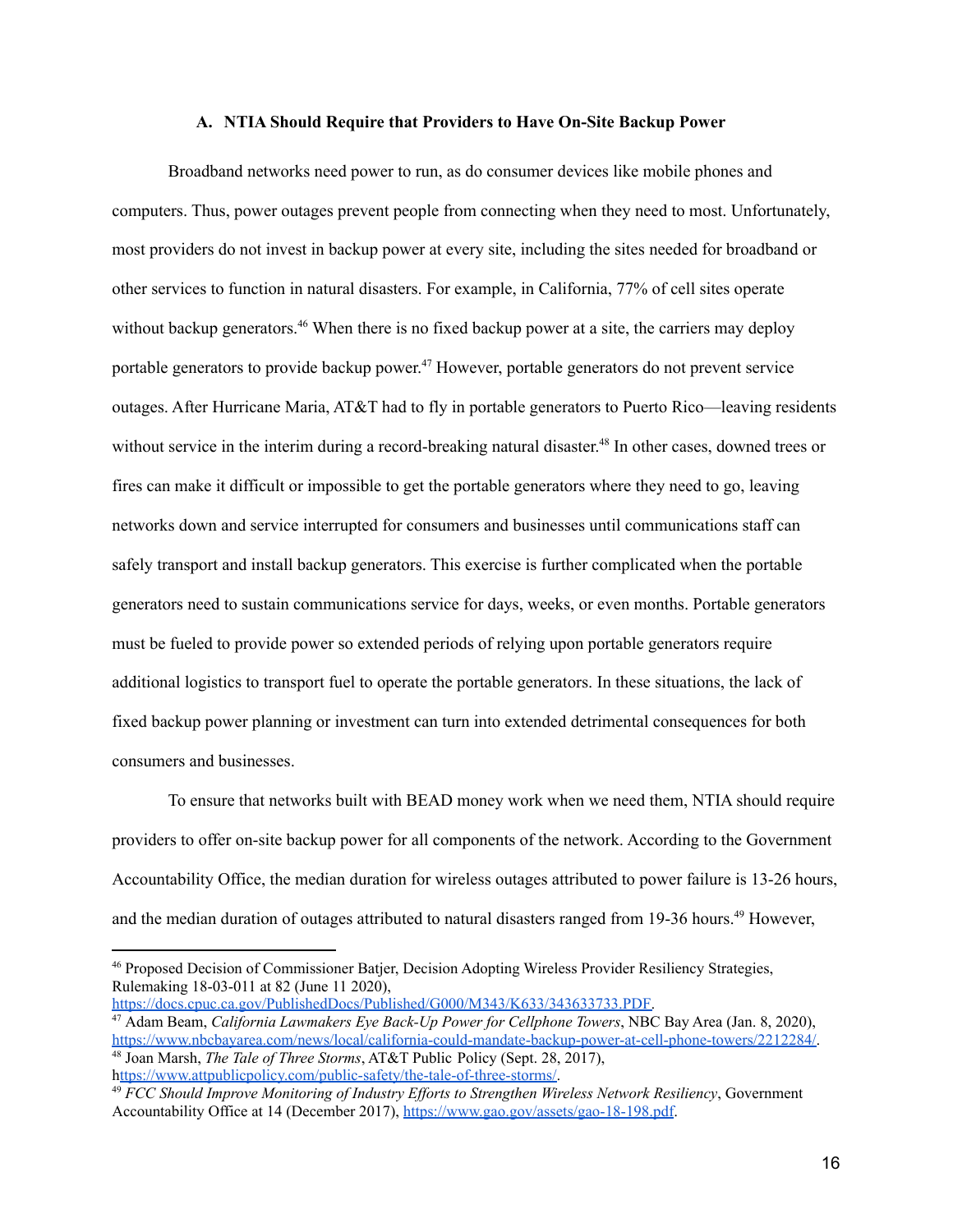#### **A. NTIA Should Require that Providers to Have On-Site Backup Power**

<span id="page-17-0"></span>Broadband networks need power to run, as do consumer devices like mobile phones and computers. Thus, power outages prevent people from connecting when they need to most. Unfortunately, most providers do not invest in backup power at every site, including the sites needed for broadband or other services to function in natural disasters. For example, in California, 77% of cell sites operate without backup generators.<sup>46</sup> When there is no fixed backup power at a site, the carriers may deploy portable generators to provide backup power.<sup>47</sup> However, portable generators do not prevent service outages. After Hurricane Maria, AT&T had to fly in portable generators to Puerto Rico—leaving residents without service in the interim during a record-breaking natural disaster.<sup>48</sup> In other cases, downed trees or fires can make it difficult or impossible to get the portable generators where they need to go, leaving networks down and service interrupted for consumers and businesses until communications staff can safely transport and install backup generators. This exercise is further complicated when the portable generators need to sustain communications service for days, weeks, or even months. Portable generators must be fueled to provide power so extended periods of relying upon portable generators require additional logistics to transport fuel to operate the portable generators. In these situations, the lack of fixed backup power planning or investment can turn into extended detrimental consequences for both consumers and businesses.

To ensure that networks built with BEAD money work when we need them, NTIA should require providers to offer on-site backup power for all components of the network. According to the Government Accountability Office, the median duration for wireless outages attributed to power failure is 13-26 hours, and the median duration of outages attributed to natural disasters ranged from 19-36 hours.<sup>49</sup> However,

<sup>46</sup> Proposed Decision of Commissioner Batjer, Decision Adopting Wireless Provider Resiliency Strategies, Rulemaking 18-03-011 at 82 (June 11 2020),

<sup>48</sup> Joan Marsh, *The Tale of Three Storms*, AT&T Public Policy (Sept. 28, 2017), h[ttps://www.attpublicpolicy.com/public-safety/the-tale-of-three-storms/.](https://www.attpublicpolicy.com/public-safety/the-tale-of-three-storms/) <sup>47</sup> Adam Beam, *California Lawmakers Eye Back-Up Power for Cellphone Towers*, NBC Bay Area (Jan. 8, 2020), [https://www.nbcbayarea.com/news/local/california-could-mandate-backup-power-at-cell-phone-towers/2212284/.](https://www.nbcbayarea.com/news/local/california-could-mandate-backup-power-at-cell-phone-towers/2212284/) [https://docs.cpuc.ca.gov/PublishedDocs/Published/G000/M343/K633/343633733.PDF.](https://docs.cpuc.ca.gov/PublishedDocs/Published/G000/M343/K633/343633733.PDF)

<sup>49</sup> *FCC Should Improve Monitoring of Industry Ef orts to Strengthen Wireless Network Resiliency*, Government Accountability Office at 14 (December 2017), <https://www.gao.gov/assets/gao-18-198.pdf>.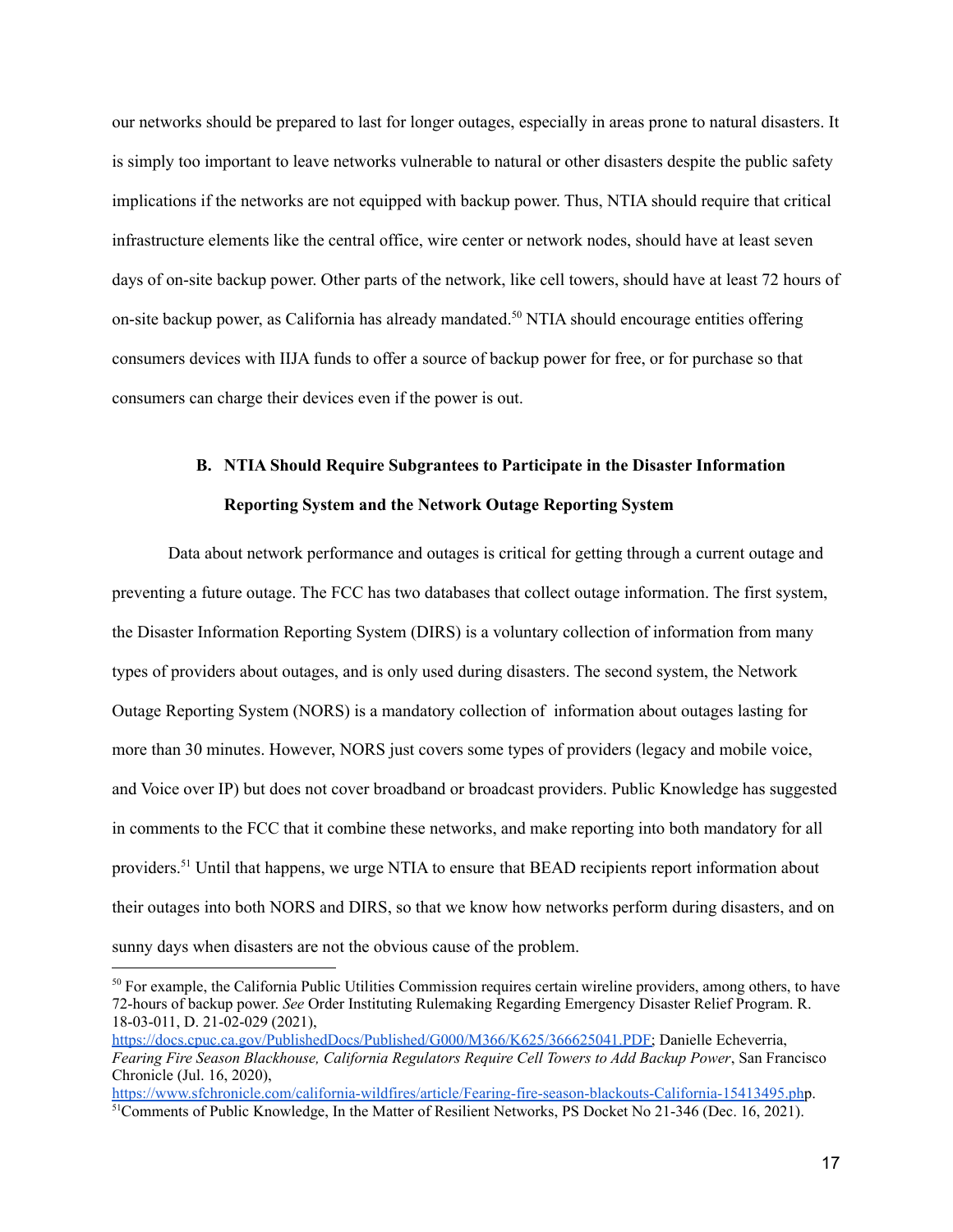our networks should be prepared to last for longer outages, especially in areas prone to natural disasters. It is simply too important to leave networks vulnerable to natural or other disasters despite the public safety implications if the networks are not equipped with backup power. Thus, NTIA should require that critical infrastructure elements like the central office, wire center or network nodes, should have at least seven days of on-site backup power. Other parts of the network, like cell towers, should have at least 72 hours of on-site backup power, as California has already mandated. <sup>50</sup> NTIA should encourage entities offering consumers devices with IIJA funds to offer a source of backup power for free, or for purchase so that consumers can charge their devices even if the power is out.

# **B. NTIA Should Require Subgrantees to Participate in the Disaster Information Reporting System and the Network Outage Reporting System**

<span id="page-18-0"></span>Data about network performance and outages is critical for getting through a current outage and preventing a future outage. The FCC has two databases that collect outage information. The first system, the Disaster Information Reporting System (DIRS) is a voluntary collection of information from many types of providers about outages, and is only used during disasters. The second system, the Network Outage Reporting System (NORS) is a mandatory collection of information about outages lasting for more than 30 minutes. However, NORS just covers some types of providers (legacy and mobile voice, and Voice over IP) but does not cover broadband or broadcast providers. Public Knowledge has suggested in comments to the FCC that it combine these networks, and make reporting into both mandatory for all providers.<sup>51</sup> Until that happens, we urge NTIA to ensure that BEAD recipients report information about their outages into both NORS and DIRS, so that we know how networks perform during disasters, and on sunny days when disasters are not the obvious cause of the problem.

<sup>&</sup>lt;sup>50</sup> For example, the California Public Utilities Commission requires certain wireline providers, among others, to have 72-hours of backup power. *See* Order Instituting Rulemaking Regarding Emergency Disaster Relief Program. R. 18-03-011, D. 21-02-029 (2021),

[https://docs.cpuc.ca.gov/PublishedDocs/Published/G000/M366/K625/366625041.PDF;](https://docs.cpuc.ca.gov/PublishedDocs/Published/G000/M366/K625/366625041.PDF) Danielle Echeverria, *Fearing Fire Season Blackhouse, California Regulators Require Cell Towers to Add Backup Power*, San Francisco Chronicle (Jul. 16, 2020),

<sup>&</sup>lt;sup>51</sup>Comments of Public Knowledge, In the Matter of Resilient Networks, PS Docket No 21-346 (Dec. 16, 2021). <https://www.sfchronicle.com/california-wildfires/article/Fearing-fire-season-blackouts-California-15413495.php>.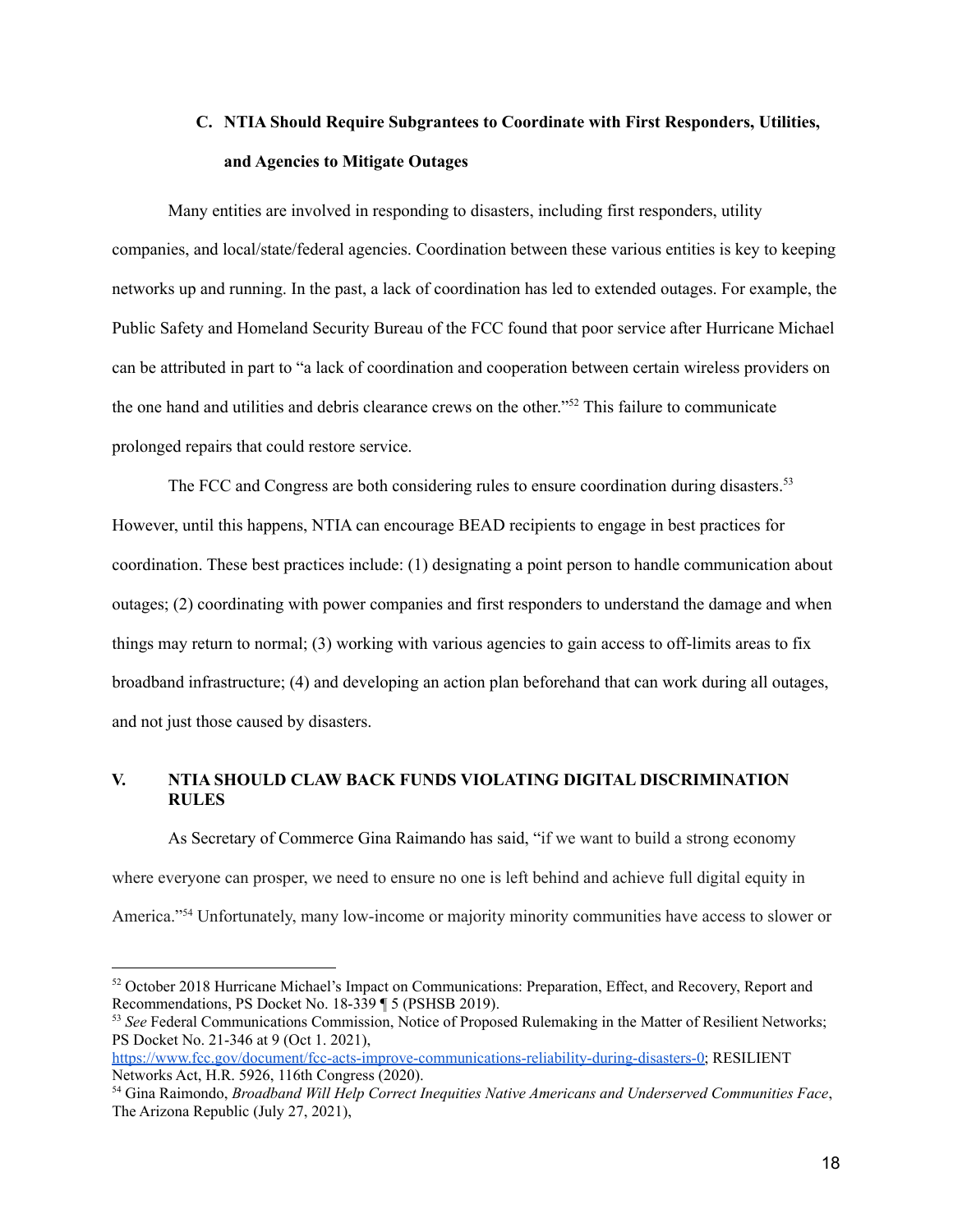## **C. NTIA Should Require Subgrantees to Coordinate with First Responders, Utilities, and Agencies to Mitigate Outages**

<span id="page-19-0"></span>Many entities are involved in responding to disasters, including first responders, utility companies, and local/state/federal agencies. Coordination between these various entities is key to keeping networks up and running. In the past, a lack of coordination has led to extended outages. For example, the Public Safety and Homeland Security Bureau of the FCC found that poor service after Hurricane Michael can be attributed in part to "a lack of coordination and cooperation between certain wireless providers on the one hand and utilities and debris clearance crews on the other." <sup>52</sup> This failure to communicate prolonged repairs that could restore service.

The FCC and Congress are both considering rules to ensure coordination during disasters.<sup>53</sup> However, until this happens, NTIA can encourage BEAD recipients to engage in best practices for coordination. These best practices include: (1) designating a point person to handle communication about outages; (2) coordinating with power companies and first responders to understand the damage and when things may return to normal; (3) working with various agencies to gain access to off-limits areas to fix broadband infrastructure; (4) and developing an action plan beforehand that can work during all outages, and not just those caused by disasters.

## <span id="page-19-1"></span>**V. NTIA SHOULD CLAW BACK FUNDS VIOLATING DIGITAL DISCRIMINATION RULES**

As Secretary of Commerce Gina Raimando has said, "if we want to build a strong economy where everyone can prosper, we need to ensure no one is left behind and achieve full digital equity in America."<sup>54</sup> Unfortunately, many low-income or majority minority communities have access to slower or

<sup>&</sup>lt;sup>52</sup> October 2018 Hurricane Michael's Impact on Communications: Preparation, Effect, and Recovery, Report and Recommendations, PS Docket No. 18-339 ¶ 5 (PSHSB 2019).

<sup>53</sup> *See* Federal Communications Commission, Notice of Proposed Rulemaking in the Matter of Resilient Networks; PS Docket No. 21-346 at 9 (Oct 1. 2021),

[https://www.fcc.gov/document/fcc-acts-improve-communications-reliability-during-disasters-0;](https://www.fcc.gov/document/fcc-acts-improve-communications-reliability-during-disasters-0) RESILIENT Networks Act, H.R. 5926, 116th Congress (2020).

<sup>54</sup> Gina Raimondo, *Broadband Will Help Correct Inequities Native Americans and Underserved Communities Face*, The Arizona Republic (July 27, 2021),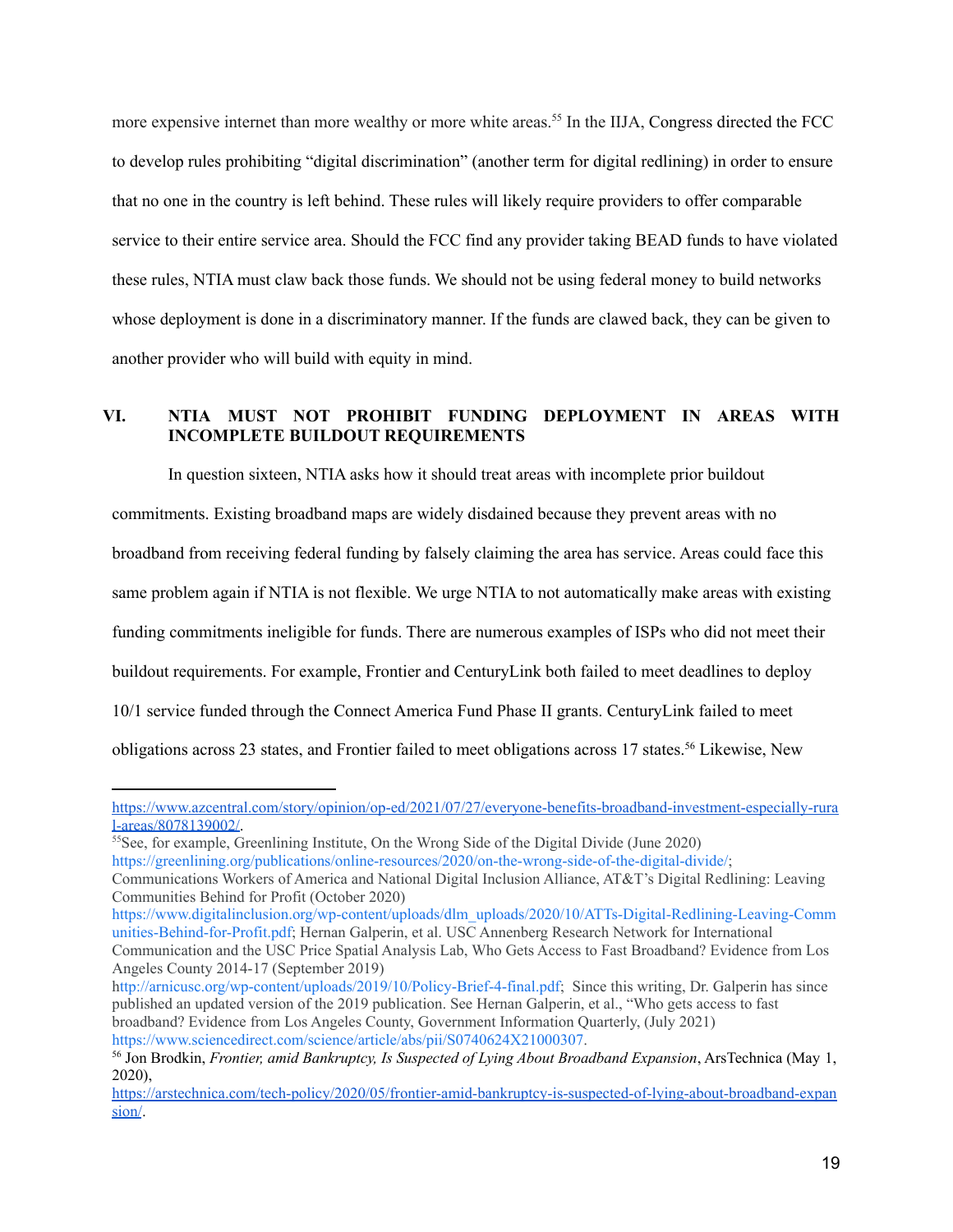more expensive internet than more wealthy or more white areas.<sup>55</sup> In the IIJA, Congress directed the FCC to develop rules prohibiting "digital discrimination" (another term for digital redlining) in order to ensure that no one in the country is left behind. These rules will likely require providers to offer comparable service to their entire service area. Should the FCC find any provider taking BEAD funds to have violated these rules, NTIA must claw back those funds. We should not be using federal money to build networks whose deployment is done in a discriminatory manner. If the funds are clawed back, they can be given to another provider who will build with equity in mind.

## <span id="page-20-0"></span>**VI. NTIA MUST NOT PROHIBIT FUNDING DEPLOYMENT IN AREAS WITH INCOMPLETE BUILDOUT REQUIREMENTS**

In question sixteen, NTIA asks how it should treat areas with incomplete prior buildout commitments. Existing broadband maps are widely disdained because they prevent areas with no broadband from receiving federal funding by falsely claiming the area has service. Areas could face this same problem again if NTIA is not flexible. We urge NTIA to not automatically make areas with existing funding commitments ineligible for funds. There are numerous examples of ISPs who did not meet their buildout requirements. For example, Frontier and CenturyLink both failed to meet deadlines to deploy 10/1 service funded through the Connect America Fund Phase II grants. CenturyLink failed to meet obligations across 23 states, and Frontier failed to meet obligations across 17 states. <sup>56</sup> Likewise, New

[https://www.azcentral.com/story/opinion/op-ed/2021/07/27/everyone-benefits-broadband-investment-especially-rura](https://www.azcentral.com/story/opinion/op-ed/2021/07/27/everyone-benefits-broadband-investment-especially-rural-areas/8078139002/) [l-areas/8078139002/](https://www.azcentral.com/story/opinion/op-ed/2021/07/27/everyone-benefits-broadband-investment-especially-rural-areas/8078139002/).

<sup>&</sup>lt;sup>55</sup>See, for example, Greenlining Institute, On the Wrong Side of the Digital Divide (June 2020)

[https://greenlining.org/publications/online-resources/2020/on-the-wrong-side-of-the-digital-divide/;](https://greenlining.org/publications/online-resources/2020/on-the-wrong-side-of-the-digital-divide/)

Communications Workers of America and National Digital Inclusion Alliance, AT&T's Digital Redlining: Leaving Communities Behind for Profit (October 2020)

[https://www.digitalinclusion.org/wp-content/uploads/dlm\\_uploads/2020/10/ATTs-Digital-Redlining-Leaving-Comm](https://www.digitalinclusion.org/wp-content/uploads/dlm_uploads/2020/10/ATTs-Digital-Redlining-Leaving-Communities-Behind-for-Profit.pdf) [unities-Behind-for-Profit.pdf;](https://www.digitalinclusion.org/wp-content/uploads/dlm_uploads/2020/10/ATTs-Digital-Redlining-Leaving-Communities-Behind-for-Profit.pdf) Hernan Galperin, et al. USC Annenberg Research Network for International Communication and the USC Price Spatial Analysis Lab, Who Gets Access to Fast Broadband? Evidence from Los Angeles County 2014-17 (September 2019)

h[ttp://arnicusc.org/wp-content/uploads/2019/10/Policy-Brief-4-final.pdf;](http://arnicusc.org/wp-content/uploads/2019/10/Policy-Brief-4-final.pdf) Since this writing, Dr. Galperin has since published an updated version of the 2019 publication. See Hernan Galperin, et al., "Who gets access to fast broadband? Evidence from Los Angeles County, Government Information Quarterly, (July 2021) <https://www.sciencedirect.com/science/article/abs/pii/S0740624X21000307>.

<sup>56</sup> Jon Brodkin, *Frontier, amid Bankruptcy, Is Suspected of Lying About Broadband Expansion*, ArsTechnica (May 1, 2020),

[https://arstechnica.com/tech-policy/2020/05/frontier-amid-bankruptcy-is-suspected-of-lying-about-broadband-expan](https://arstechnica.com/tech-policy/2020/05/frontier-amid-bankruptcy-is-suspected-of-lying-about-broadband-expansion/) [sion/](https://arstechnica.com/tech-policy/2020/05/frontier-amid-bankruptcy-is-suspected-of-lying-about-broadband-expansion/).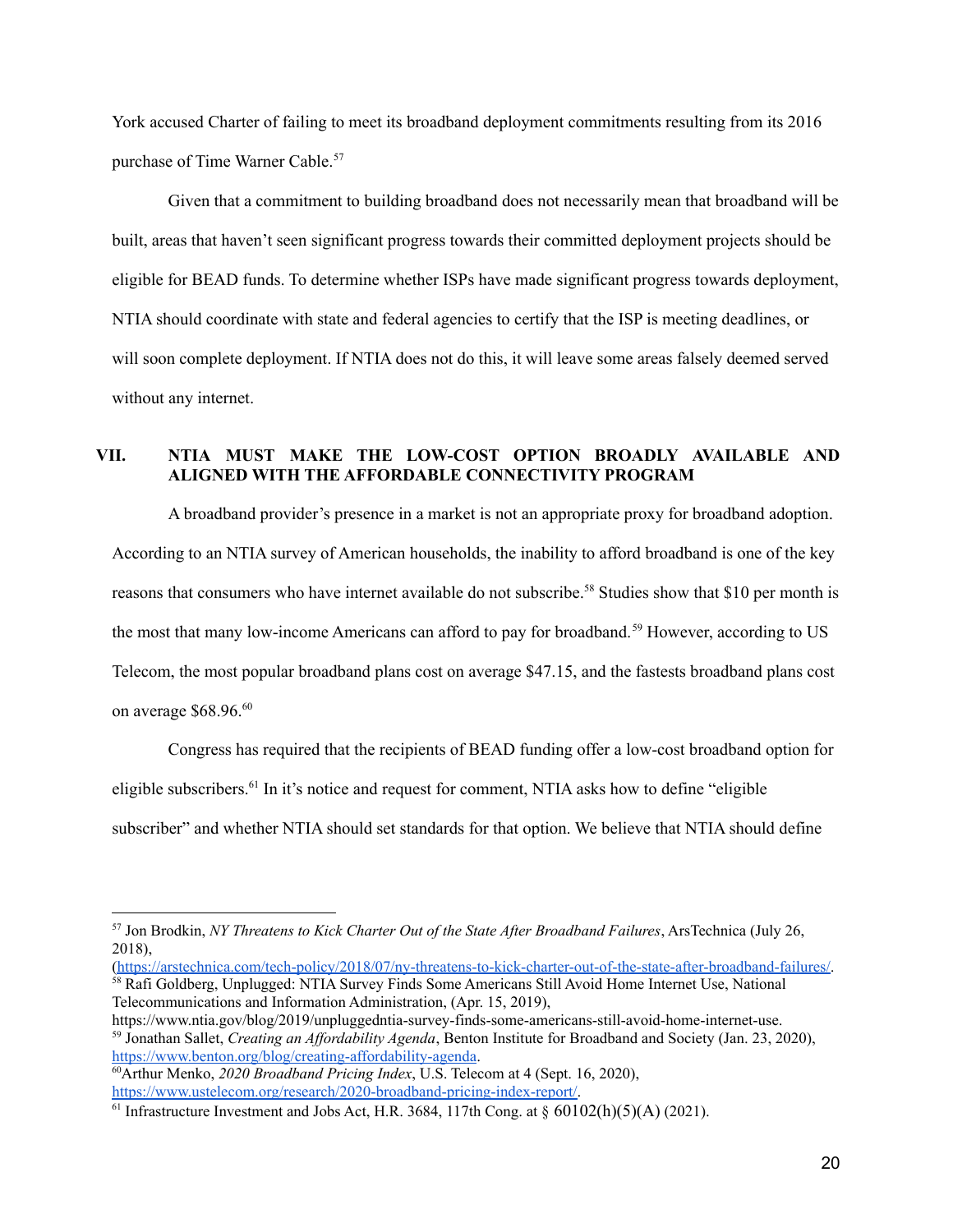York accused Charter of failing to meet its broadband deployment commitments resulting from its 2016 purchase of Time Warner Cable. 57

Given that a commitment to building broadband does not necessarily mean that broadband will be built, areas that haven't seen significant progress towards their committed deployment projects should be eligible for BEAD funds. To determine whether ISPs have made significant progress towards deployment, NTIA should coordinate with state and federal agencies to certify that the ISP is meeting deadlines, or will soon complete deployment. If NTIA does not do this, it will leave some areas falsely deemed served without any internet.

## <span id="page-21-0"></span>**VII. NTIA MUST MAKE THE LOW-COST OPTION BROADLY AVAILABLE AND ALIGNED WITH THE AFFORDABLE CONNECTIVITY PROGRAM**

A broadband provider's presence in a market is not an appropriate proxy for broadband adoption. According to an NTIA survey of American households, the inability to afford broadband is one of the key reasons that consumers who have internet available do not subscribe.<sup>58</sup> Studies show that \$10 per month is the most that many low-income Americans can afford to pay for broadband. <sup>59</sup> However, according to US Telecom, the most popular broadband plans cost on average \$47.15, and the fastests broadband plans cost on average \$68.96. 60

Congress has required that the recipients of BEAD funding offer a low-cost broadband option for eligible subscribers.<sup>61</sup> In it's notice and request for comment, NTIA asks how to define "eligible subscriber" and whether NTIA should set standards for that option. We believe that NTIA should define

<sup>58</sup> Rafi Goldberg, Unplugged: NTIA Survey Finds Some Americans Still Avoid Home Internet Use, National Telecommunications and Information Administration, (Apr. 15, 2019), [\(https://arstechnica.com/tech-policy/2018/07/ny-threatens-to-kick-charter-out-of-the-state-after-broadband-failures/.](https://arstechnica.com/tech-policy/2018/07/ny-threatens-to-kick-charter-out-of-the-state-after-broadband-failures/)

<sup>59</sup> Jonathan Sallet, *Creating an Af ordability Agenda*, Benton Institute for Broadband and Society (Jan. 23, 2020), <https://www.benton.org/blog/creating-affordability-agenda>. https://www.ntia.gov/blog/2019/unpluggedntia-survey-finds-some-americans-still-avoid-home-internet-use.

<sup>57</sup> Jon Brodkin, *NY Threatens to Kick Charter Out of the State After Broadband Failures*, ArsTechnica (July 26, 2018),

<sup>60</sup>Arthur Menko, *2020 Broadband Pricing Index*, U.S. Telecom at 4 (Sept. 16, 2020), [https://www.ustelecom.org/research/2020-broadband-pricing-index-report/.](https://www.ustelecom.org/research/2020-broadband-pricing-index-report/)

<sup>&</sup>lt;sup>61</sup> Infrastructure Investment and Jobs Act, H.R. 3684, 117th Cong. at  $\S$  60102(h)(5)(A) (2021).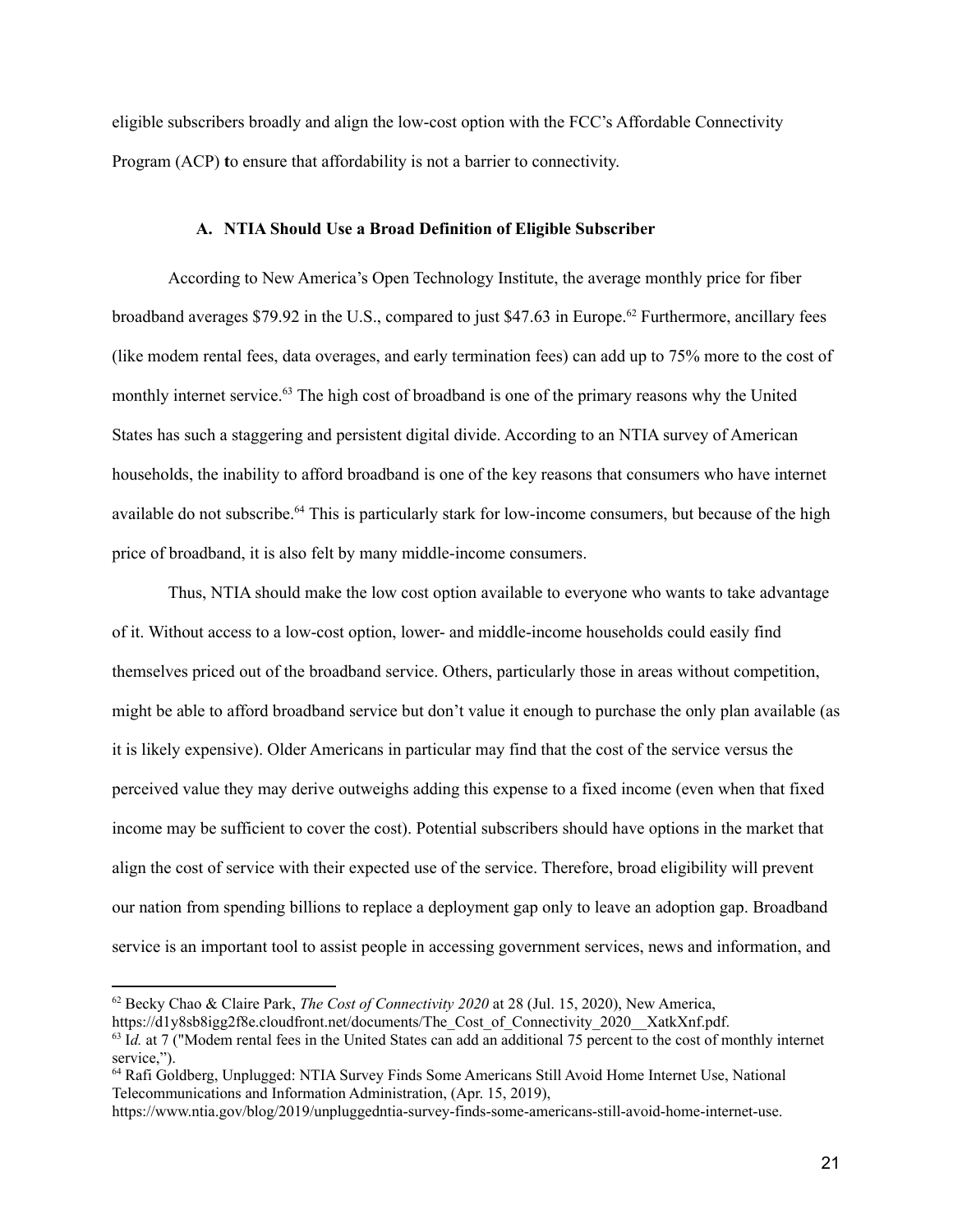<span id="page-22-0"></span>eligible subscribers broadly and align the low-cost option with the FCC's Affordable Connectivity Program (ACP) **t**o ensure that affordability is not a barrier to connectivity.

#### **A. NTIA Should Use a Broad Definition of Eligible Subscriber**

According to New America's Open Technology Institute, the average monthly price for fiber broadband averages \$79.92 in the U.S., compared to just \$47.63 in Europe. <sup>62</sup> Furthermore, ancillary fees (like modem rental fees, data overages, and early termination fees) can add up to 75% more to the cost of monthly internet service. <sup>63</sup> The high cost of broadband is one of the primary reasons why the United States has such a staggering and persistent digital divide. According to an NTIA survey of American households, the inability to afford broadband is one of the key reasons that consumers who have internet available do not subscribe.<sup>64</sup> This is particularly stark for low-income consumers, but because of the high price of broadband, it is also felt by many middle-income consumers.

Thus, NTIA should make the low cost option available to everyone who wants to take advantage of it. Without access to a low-cost option, lower- and middle-income households could easily find themselves priced out of the broadband service. Others, particularly those in areas without competition, might be able to afford broadband service but don't value it enough to purchase the only plan available (as it is likely expensive). Older Americans in particular may find that the cost of the service versus the perceived value they may derive outweighs adding this expense to a fixed income (even when that fixed income may be sufficient to cover the cost). Potential subscribers should have options in the market that align the cost of service with their expected use of the service. Therefore, broad eligibility will prevent our nation from spending billions to replace a deployment gap only to leave an adoption gap. Broadband service is an important tool to assist people in accessing government services, news and information, and

<sup>62</sup> Becky Chao & Claire Park, *The Cost of Connectivity 2020* at 28 (Jul. 15, 2020), New America,

https://d1y8sb8igg2f8e.cloudfront.net/documents/The\_Cost\_of\_Connectivity\_2020\_\_XatkXnf.pdf.

<sup>&</sup>lt;sup>63</sup> Id. at 7 ("Modem rental fees in the United States can add an additional 75 percent to the cost of monthly internet service.").

<sup>64</sup> Rafi Goldberg, Unplugged: NTIA Survey Finds Some Americans Still Avoid Home Internet Use, National Telecommunications and Information Administration, (Apr. 15, 2019),

https://www.ntia.gov/blog/2019/unpluggedntia-survey-finds-some-americans-still-avoid-home-internet-use.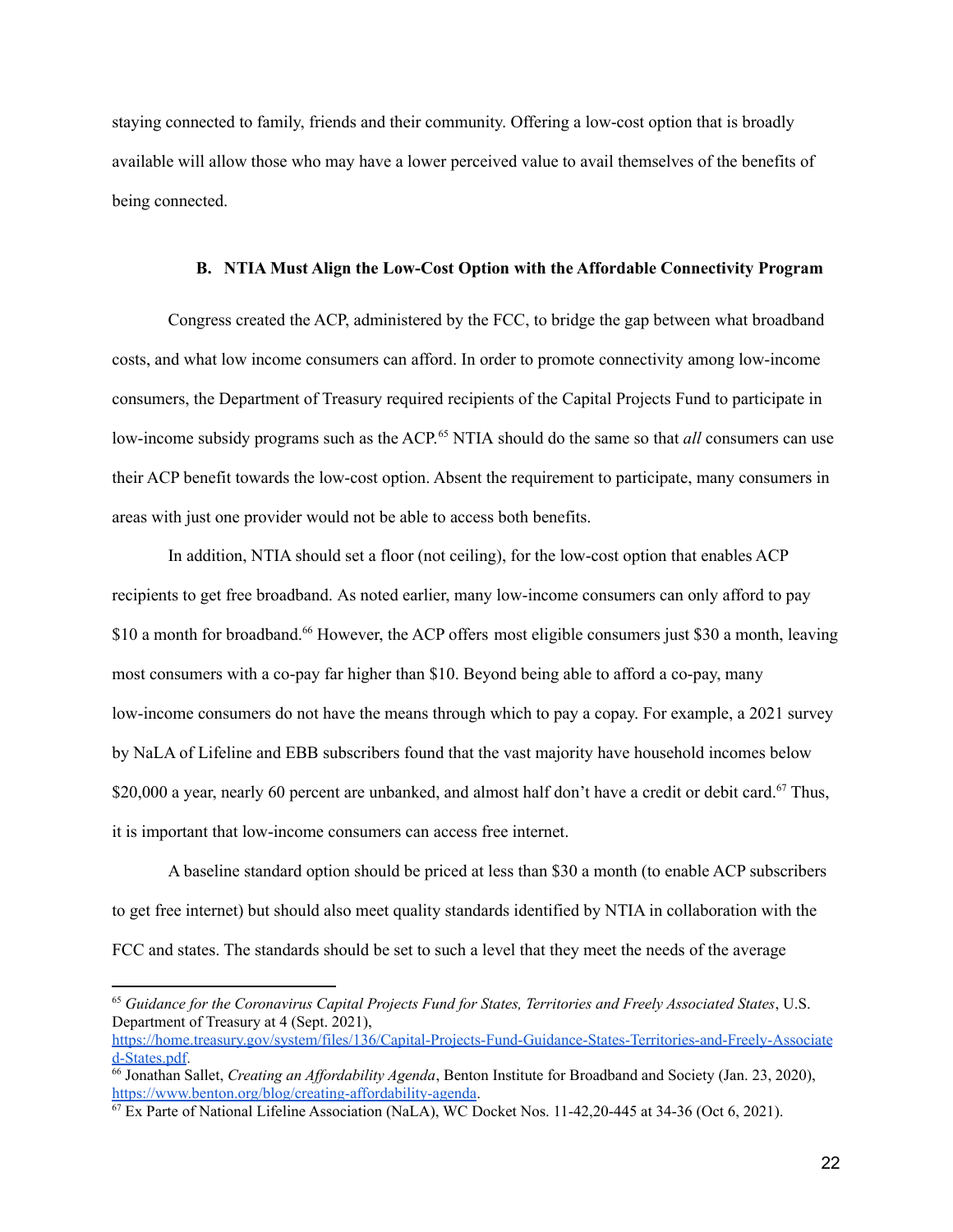staying connected to family, friends and their community. Offering a low-cost option that is broadly available will allow those who may have a lower perceived value to avail themselves of the benefits of being connected.

#### **B. NTIA Must Align the Low-Cost Option with the Affordable Connectivity Program**

<span id="page-23-0"></span>Congress created the ACP, administered by the FCC, to bridge the gap between what broadband costs, and what low income consumers can afford. In order to promote connectivity among low-income consumers, the Department of Treasury required recipients of the Capital Projects Fund to participate in low-income subsidy programs such as the ACP.<sup>65</sup> NTIA should do the same so that *all* consumers can use their ACP benefit towards the low-cost option. Absent the requirement to participate, many consumers in areas with just one provider would not be able to access both benefits.

In addition, NTIA should set a floor (not ceiling), for the low-cost option that enables ACP recipients to get free broadband. As noted earlier, many low-income consumers can only afford to pay \$10 a month for broadband.<sup>66</sup> However, the ACP offers most eligible consumers just \$30 a month, leaving most consumers with a co-pay far higher than \$10. Beyond being able to afford a co-pay, many low-income consumers do not have the means through which to pay a copay. For example, a 2021 survey by NaLA of Lifeline and EBB subscribers found that the vast majority have household incomes below \$20,000 a year, nearly 60 percent are unbanked, and almost half don't have a credit or debit card.<sup>67</sup> Thus, it is important that low-income consumers can access free internet.

A baseline standard option should be priced at less than \$30 a month (to enable ACP subscribers to get free internet) but should also meet quality standards identified by NTIA in collaboration with the FCC and states. The standards should be set to such a level that they meet the needs of the average

[https://home.treasury.gov/system/files/136/Capital-Projects-Fund-Guidance-States-Territories-and-Freely-Associate](https://home.treasury.gov/system/files/136/Capital-Projects-Fund-Guidance-States-Territories-and-Freely-Associated-States.pdf) [d-States.pdf](https://home.treasury.gov/system/files/136/Capital-Projects-Fund-Guidance-States-Territories-and-Freely-Associated-States.pdf).

<sup>65</sup> *Guidance for the Coronavirus Capital Projects Fund for States, Territories and Freely Associated States*, U.S. Department of Treasury at 4 (Sept. 2021),

<sup>66</sup> Jonathan Sallet, *Creating an Af ordability Agenda*, Benton Institute for Broadband and Society (Jan. 23, 2020), <https://www.benton.org/blog/creating-affordability-agenda>.

<sup>67</sup> Ex Parte of National Lifeline Association (NaLA), WC Docket Nos. 11-42,20-445 at 34-36 (Oct 6, 2021).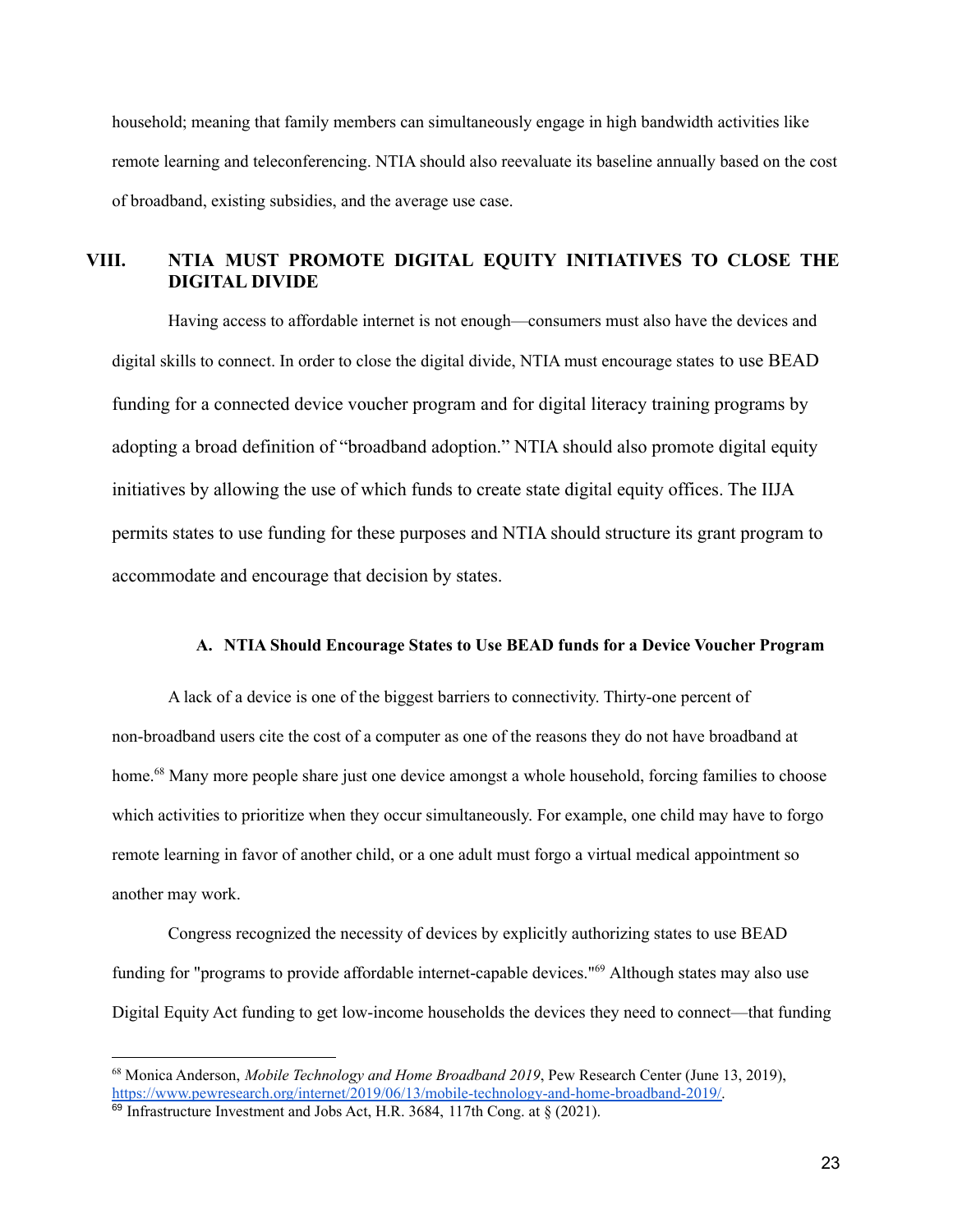household; meaning that family members can simultaneously engage in high bandwidth activities like remote learning and teleconferencing. NTIA should also reevaluate its baseline annually based on the cost of broadband, existing subsidies, and the average use case.

## <span id="page-24-0"></span>**VIII. NTIA MUST PROMOTE DIGITAL EQUITY INITIATIVES TO CLOSE THE DIGITAL DIVIDE**

Having access to affordable internet is not enough—consumers must also have the devices and digital skills to connect. In order to close the digital divide, NTIA must encourage states to use BEAD funding for a connected device voucher program and for digital literacy training programs by adopting a broad definition of "broadband adoption." NTIA should also promote digital equity initiatives by allowing the use of which funds to create state digital equity offices. The IIJA permits states to use funding for these purposes and NTIA should structure its grant program to accommodate and encourage that decision by states.

#### **A. NTIA Should Encourage States to Use BEAD funds for a Device Voucher Program**

A lack of a device is one of the biggest barriers to connectivity. Thirty-one percent of non-broadband users cite the cost of a computer as one of the reasons they do not have broadband at home.<sup>68</sup> Many more people share just one device amongst a whole household, forcing families to choose which activities to prioritize when they occur simultaneously. For example, one child may have to forgo remote learning in favor of another child, or a one adult must forgo a virtual medical appointment so another may work.

Congress recognized the necessity of devices by explicitly authorizing states to use BEAD funding for "programs to provide affordable internet-capable devices."<sup>69</sup> Although states may also use Digital Equity Act funding to get low-income households the devices they need to connect—that funding

<sup>68</sup> Monica Anderson, *Mobile Technology and Home Broadband 2019*, Pew Research Center (June 13, 2019), [https://www.pewresearch.org/internet/2019/06/13/mobile-technology-and-home-broadband-2019/.](https://www.pewresearch.org/internet/2019/06/13/mobile-technology-and-home-broadband-2019/)

 $69$  Infrastructure Investment and Jobs Act, H.R. 3684, 117th Cong. at § (2021).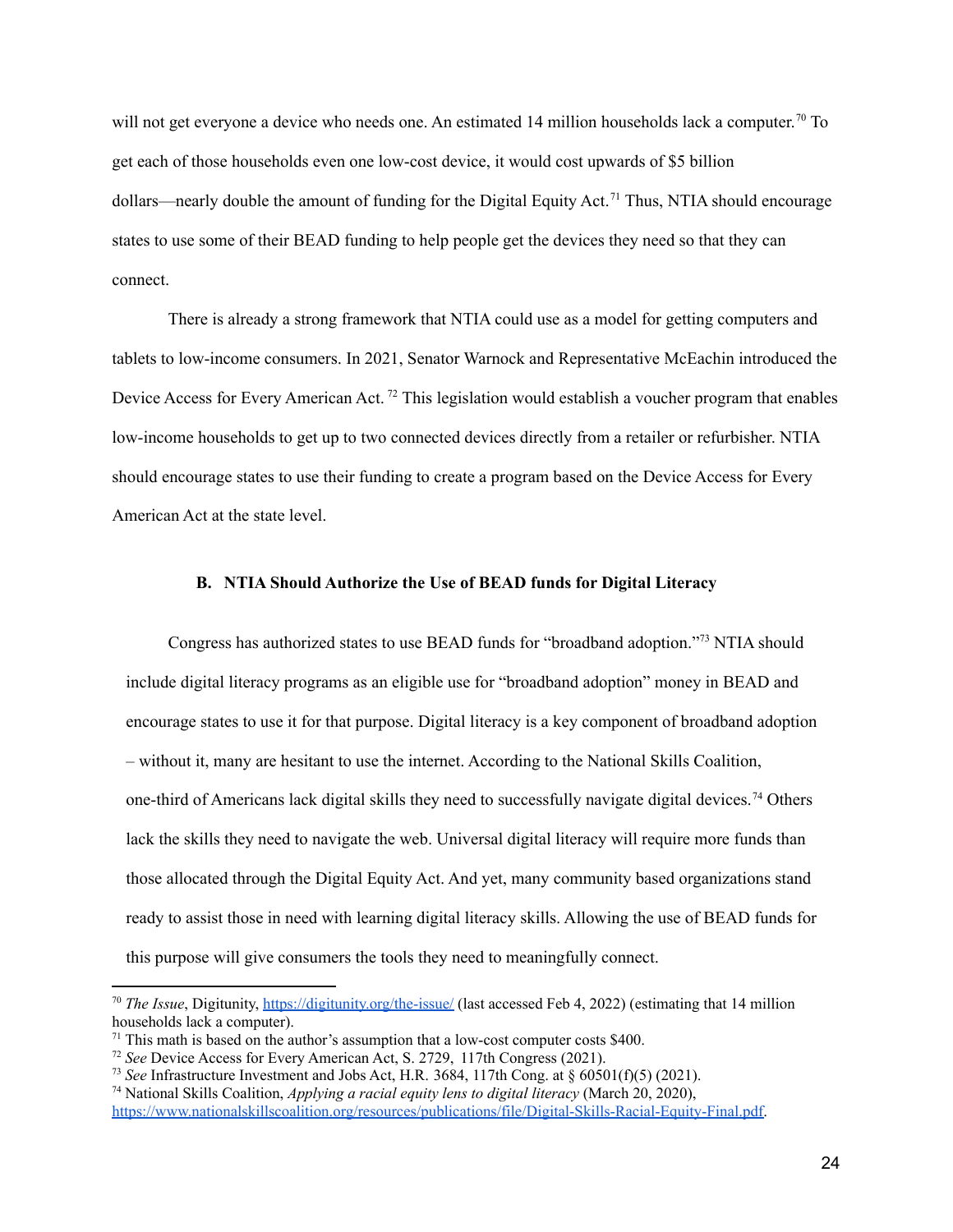will not get everyone a device who needs one. An estimated 14 million households lack a computer.<sup>70</sup> To get each of those households even one low-cost device, it would cost upwards of \$5 billion dollars—nearly double the amount of funding for the Digital Equity Act.<sup>71</sup> Thus, NTIA should encourage states to use some of their BEAD funding to help people get the devices they need so that they can connect.

There is already a strong framework that NTIA could use as a model for getting computers and tablets to low-income consumers. In 2021, Senator Warnock and Representative McEachin introduced the Device Access for Every American Act.<sup>72</sup> This legislation would establish a voucher program that enables low-income households to get up to two connected devices directly from a retailer or refurbisher. NTIA should encourage states to use their funding to create a program based on the Device Access for Every American Act at the state level.

#### <span id="page-25-0"></span>**B. NTIA Should Authorize the Use of BEAD funds for Digital Literacy**

Congress has authorized states to use BEAD funds for "broadband adoption." <sup>73</sup> NTIA should include digital literacy programs as an eligible use for "broadband adoption" money in BEAD and encourage states to use it for that purpose. Digital literacy is a key component of broadband adoption – without it, many are hesitant to use the internet. According to the National Skills Coalition, one-third of Americans lack digital skills they need to successfully navigate digital devices.<sup>74</sup> Others lack the skills they need to navigate the web. Universal digital literacy will require more funds than those allocated through the Digital Equity Act. And yet, many community based organizations stand ready to assist those in need with learning digital literacy skills. Allowing the use of BEAD funds for this purpose will give consumers the tools they need to meaningfully connect.

<sup>70</sup> *The Issue*, Digitunity, <https://digitunity.org/the-issue/> (last accessed Feb 4, 2022) (estimating that 14 million households lack a computer).

 $71$  This math is based on the author's assumption that a low-cost computer costs \$400.

<sup>72</sup> *See* Device Access for Every American Act, S. 2729, 117th Congress (2021).

<sup>73</sup> *See* Infrastructure Investment and Jobs Act, H.R. 3684, 117th Cong. at § 60501(f)(5) (2021).

<sup>74</sup> National Skills Coalition, *Applying a racial equity lens to digital literacy* (March 20, 2020), [https://www.nationalskillscoalition.org/resources/publications/file/Digital-Skills-Racial-Equity-Final.pdf.](https://www.nationalskillscoalition.org/resources/publications/file/Digital-Skills-Racial-Equity-Final.pdf)